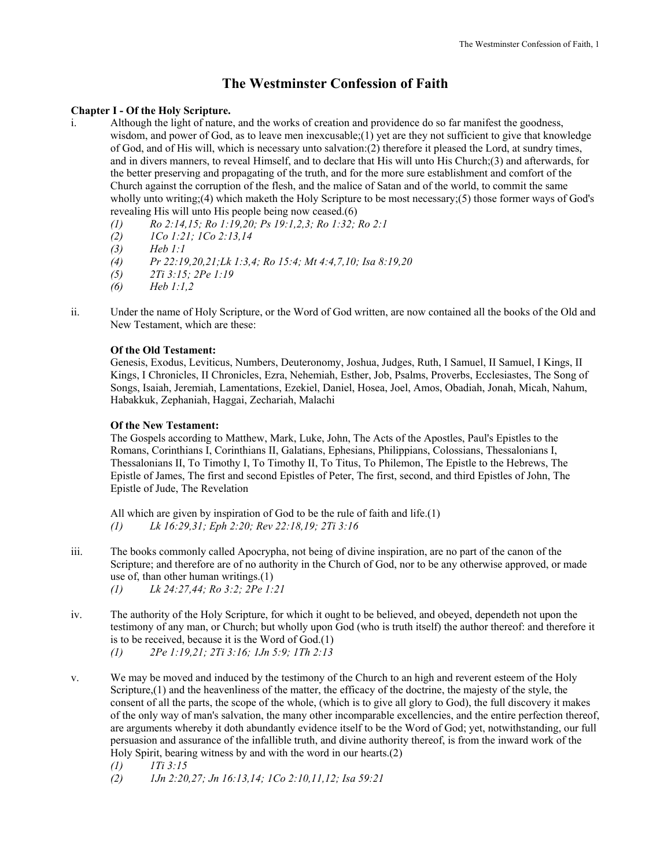# **The Westminster Confession of Faith**

# **Chapter I - Of the Holy Scripture.**

- i. Although the light of nature, and the works of creation and providence do so far manifest the goodness, wisdom, and power of God, as to leave men inexcusable; (1) yet are they not sufficient to give that knowledge of God, and of His will, which is necessary unto salvation:(2) therefore it pleased the Lord, at sundry times, and in divers manners, to reveal Himself, and to declare that His will unto His Church;(3) and afterwards, for the better preserving and propagating of the truth, and for the more sure establishment and comfort of the Church against the corruption of the flesh, and the malice of Satan and of the world, to commit the same wholly unto writing;(4) which maketh the Holy Scripture to be most necessary;(5) those former ways of God's revealing His will unto His people being now ceased.(6)
	- *(1) Ro 2:14,15; Ro 1:19,20; Ps 19:1,2,3; Ro 1:32; Ro 2:1*
	- *(2) 1Co 1:21; 1Co 2:13,14*
	- *(3) Heb 1:1*
	- *(4) Pr 22:19,20,21;Lk 1:3,4; Ro 15:4; Mt 4:4,7,10; Isa 8:19,20*
	- *(5) 2Ti 3:15; 2Pe 1:19*
	- *(6) Heb 1:1,2*
- ii. Under the name of Holy Scripture, or the Word of God written, are now contained all the books of the Old and New Testament, which are these:

# **Of the Old Testament:**

 Genesis, Exodus, Leviticus, Numbers, Deuteronomy, Joshua, Judges, Ruth, I Samuel, II Samuel, I Kings, II Kings, I Chronicles, II Chronicles, Ezra, Nehemiah, Esther, Job, Psalms, Proverbs, Ecclesiastes, The Song of Songs, Isaiah, Jeremiah, Lamentations, Ezekiel, Daniel, Hosea, Joel, Amos, Obadiah, Jonah, Micah, Nahum, Habakkuk, Zephaniah, Haggai, Zechariah, Malachi

# **Of the New Testament:**

 The Gospels according to Matthew, Mark, Luke, John, The Acts of the Apostles, Paul's Epistles to the Romans, Corinthians I, Corinthians II, Galatians, Ephesians, Philippians, Colossians, Thessalonians I, Thessalonians II, To Timothy I, To Timothy II, To Titus, To Philemon, The Epistle to the Hebrews, The Epistle of James, The first and second Epistles of Peter, The first, second, and third Epistles of John, The Epistle of Jude, The Revelation

 All which are given by inspiration of God to be the rule of faith and life.(1)  *(1) Lk 16:29,31; Eph 2:20; Rev 22:18,19; 2Ti 3:16* 

- iii. The books commonly called Apocrypha, not being of divine inspiration, are no part of the canon of the Scripture; and therefore are of no authority in the Church of God, nor to be any otherwise approved, or made use of, than other human writings.(1)  *(1) Lk 24:27,44; Ro 3:2; 2Pe 1:21*
- iv. The authority of the Holy Scripture, for which it ought to be believed, and obeyed, dependeth not upon the testimony of any man, or Church; but wholly upon God (who is truth itself) the author thereof: and therefore it is to be received, because it is the Word of God.(1)
	- *(1) 2Pe 1:19,21; 2Ti 3:16; 1Jn 5:9; 1Th 2:13*
- v. We may be moved and induced by the testimony of the Church to an high and reverent esteem of the Holy Scripture,(1) and the heavenliness of the matter, the efficacy of the doctrine, the majesty of the style, the consent of all the parts, the scope of the whole, (which is to give all glory to God), the full discovery it makes of the only way of man's salvation, the many other incomparable excellencies, and the entire perfection thereof, are arguments whereby it doth abundantly evidence itself to be the Word of God; yet, notwithstanding, our full persuasion and assurance of the infallible truth, and divine authority thereof, is from the inward work of the Holy Spirit, bearing witness by and with the word in our hearts.(2)
	- *(1) 1Ti 3:15*
	- *(2) 1Jn 2:20,27; Jn 16:13,14; 1Co 2:10,11,12; Isa 59:21*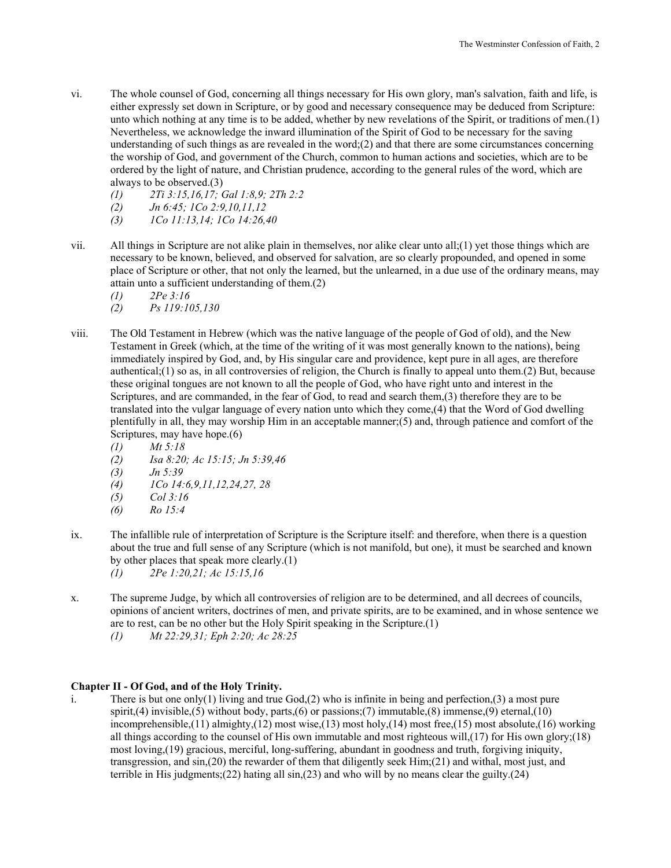- vi. The whole counsel of God, concerning all things necessary for His own glory, man's salvation, faith and life, is either expressly set down in Scripture, or by good and necessary consequence may be deduced from Scripture: unto which nothing at any time is to be added, whether by new revelations of the Spirit, or traditions of men.(1) Nevertheless, we acknowledge the inward illumination of the Spirit of God to be necessary for the saving understanding of such things as are revealed in the word; $(2)$  and that there are some circumstances concerning the worship of God, and government of the Church, common to human actions and societies, which are to be ordered by the light of nature, and Christian prudence, according to the general rules of the word, which are always to be observed.(3)
	- *(1) 2Ti 3:15,16,17; Gal 1:8,9; 2Th 2:2*
	- *(2) Jn 6:45; 1Co 2:9,10,11,12*
	- *(3) 1Co 11:13,14; 1Co 14:26,40*
- vii. All things in Scripture are not alike plain in themselves, nor alike clear unto all;(1) yet those things which are necessary to be known, believed, and observed for salvation, are so clearly propounded, and opened in some place of Scripture or other, that not only the learned, but the unlearned, in a due use of the ordinary means, may attain unto a sufficient understanding of them.(2)
	- *(1) 2Pe 3:16*
	- *(2) Ps 119:105,130*
- viii. The Old Testament in Hebrew (which was the native language of the people of God of old), and the New Testament in Greek (which, at the time of the writing of it was most generally known to the nations), being immediately inspired by God, and, by His singular care and providence, kept pure in all ages, are therefore authentical;(1) so as, in all controversies of religion, the Church is finally to appeal unto them.(2) But, because these original tongues are not known to all the people of God, who have right unto and interest in the Scriptures, and are commanded, in the fear of God, to read and search them,(3) therefore they are to be translated into the vulgar language of every nation unto which they come,(4) that the Word of God dwelling plentifully in all, they may worship Him in an acceptable manner;(5) and, through patience and comfort of the Scriptures, may have hope.(6)
	- *(1) Mt 5:18*
	- *(2) Isa 8:20; Ac 15:15; Jn 5:39,46*
	- *(3) Jn 5:39*
	- *(4) 1Co 14:6,9,11,12,24,27, 28*
	- *(5) Col 3:16*
	- *(6) Ro 15:4*
- ix. The infallible rule of interpretation of Scripture is the Scripture itself: and therefore, when there is a question about the true and full sense of any Scripture (which is not manifold, but one), it must be searched and known by other places that speak more clearly.(1)
	- *(1) 2Pe 1:20,21; Ac 15:15,16*
- x. The supreme Judge, by which all controversies of religion are to be determined, and all decrees of councils, opinions of ancient writers, doctrines of men, and private spirits, are to be examined, and in whose sentence we are to rest, can be no other but the Holy Spirit speaking in the Scripture.(1)
	- *(1) Mt 22:29,31; Eph 2:20; Ac 28:25*

## **Chapter II - Of God, and of the Holy Trinity.**

i. There is but one only(1) living and true God,(2) who is infinite in being and perfection,(3) a most pure spirit,(4) invisible,(5) without body, parts,(6) or passions;(7) immutable,(8) immense,(9) eternal,(10) incomprehensible,(11) almighty,(12) most wise,(13) most holy,(14) most free,(15) most absolute,(16) working all things according to the counsel of His own immutable and most righteous will,(17) for His own glory;(18) most loving,(19) gracious, merciful, long-suffering, abundant in goodness and truth, forgiving iniquity, transgression, and sin,(20) the rewarder of them that diligently seek Him;(21) and withal, most just, and terrible in His judgments;(22) hating all sin,(23) and who will by no means clear the guilty.(24)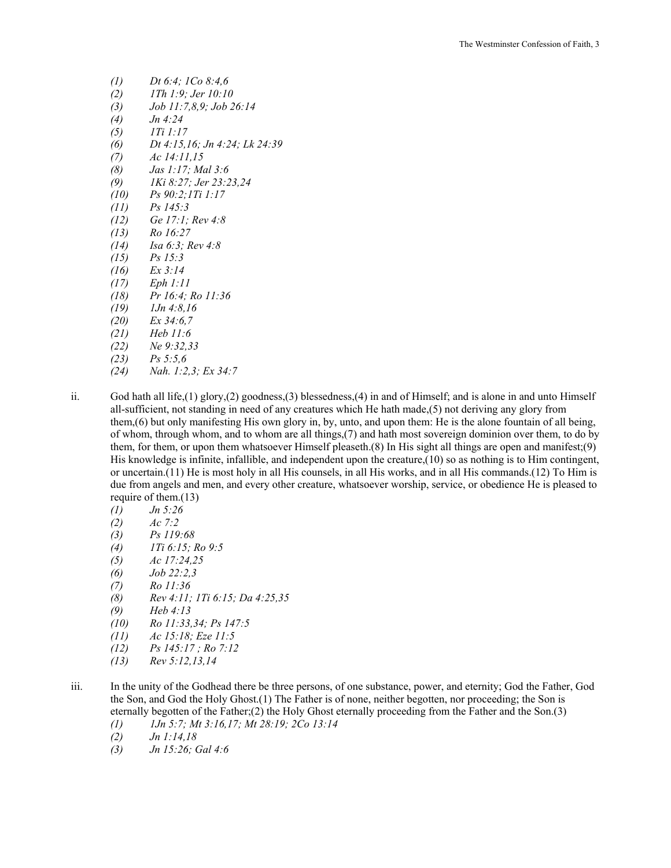| $\left( l\right)$ | Dt 6:4; $1Co 8:4,6$                                                                                                                         |
|-------------------|---------------------------------------------------------------------------------------------------------------------------------------------|
| (2)               | 1Th 1:9: Jer 10:10                                                                                                                          |
| (3)               | Job 11:7,8,9; Job 26:14                                                                                                                     |
| (4)               | Jn 4:24                                                                                                                                     |
|                   | $(5)$ 1 $1:1:17$                                                                                                                            |
|                   | (6) Dt 4:15,16; Jn 4:24; Lk 24:39                                                                                                           |
|                   | $(7)$ Ac 14:11,15                                                                                                                           |
|                   | (8) <i>Jas 1:17; Mal</i> 3:6                                                                                                                |
|                   | $(9)$ 1Ki 8:27; Jer 23:23,24                                                                                                                |
|                   | $(10)$ $Ps\ 90:2;1Ti\ 1:17$                                                                                                                 |
|                   | $(11)$ Ps 145:3                                                                                                                             |
|                   | $(12)$ Ge 17:1; Rev 4:8                                                                                                                     |
|                   | $(13)$ Ro 16:27                                                                                                                             |
|                   | $(14)$ Isa 6:3; Rev 4:8                                                                                                                     |
|                   | $(15)$ $Ps 15:3$                                                                                                                            |
|                   | $(16)$ Ex 3:14                                                                                                                              |
|                   | $(17)$ Eph 1:11                                                                                                                             |
|                   | $(18)$ Pr 16:4; Ro 11:36                                                                                                                    |
|                   | $(19)$ $1Jn 4:8,16$                                                                                                                         |
|                   | $(20)$ Ex 34:6,7                                                                                                                            |
|                   | $(21)$ Heb 11:6                                                                                                                             |
|                   | $(22)$ Ne 9:32,33                                                                                                                           |
|                   | $(23)$ $Ps\,5:5,6$                                                                                                                          |
| (24)              | $\mathcal{M}$ $\mathcal{I}$ $\mathcal{I}$ $\mathcal{I}$ $\mathcal{I}$ $\mathcal{I}$ $\mathcal{I}$ $\mathcal{I}$ $\mathcal{I}$ $\mathcal{I}$ |

- *(24) Nah. 1:2,3; Ex 34:7*
- ii. God hath all life,(1) glory,(2) goodness,(3) blessedness,(4) in and of Himself; and is alone in and unto Himself all-sufficient, not standing in need of any creatures which He hath made,(5) not deriving any glory from them,(6) but only manifesting His own glory in, by, unto, and upon them: He is the alone fountain of all being, of whom, through whom, and to whom are all things,(7) and hath most sovereign dominion over them, to do by them, for them, or upon them whatsoever Himself pleaseth.(8) In His sight all things are open and manifest;(9) His knowledge is infinite, infallible, and independent upon the creature,(10) so as nothing is to Him contingent, or uncertain.(11) He is most holy in all His counsels, in all His works, and in all His commands.(12) To Him is due from angels and men, and every other creature, whatsoever worship, service, or obedience He is pleased to require of them.(13)
	- *(1) Jn 5:26*
	- *(2) Ac 7:2*
	- *(3) Ps 119:68*
	- *(4) 1Ti 6:15; Ro 9:5*
	- *(5) Ac 17:24,25*
	- *(6) Job 22:2,3*
	- *(7) Ro 11:36*
	- *(8) Rev 4:11; 1Ti 6:15; Da 4:25,35*
	- *(9) Heb 4:13*
	- *(10) Ro 11:33,34; Ps 147:5*
	- *(11) Ac 15:18; Eze 11:5*
	- *(12) Ps 145:17 ; Ro 7:12*
	- *(13) Rev 5:12,13,14*
- iii. In the unity of the Godhead there be three persons, of one substance, power, and eternity; God the Father, God the Son, and God the Holy Ghost.(1) The Father is of none, neither begotten, nor proceeding; the Son is eternally begotten of the Father;(2) the Holy Ghost eternally proceeding from the Father and the Son.(3)
	- *(1) 1Jn 5:7; Mt 3:16,17; Mt 28:19; 2Co 13:14*
	- *(2) Jn 1:14,18*
	- *(3) Jn 15:26; Gal 4:6*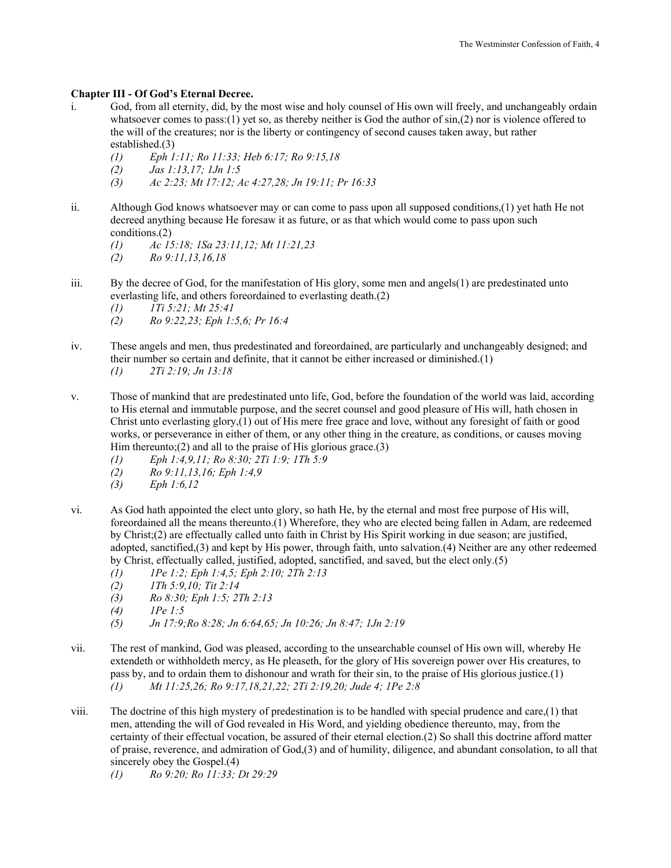# **Chapter III - Of God's Eternal Decree.**

- i. God, from all eternity, did, by the most wise and holy counsel of His own will freely, and unchangeably ordain whatsoever comes to pass:(1) yet so, as thereby neither is God the author of  $sin(2)$  nor is violence offered to the will of the creatures; nor is the liberty or contingency of second causes taken away, but rather established.(3)
	- *(1) Eph 1:11; Ro 11:33; Heb 6:17; Ro 9:15,18*
	- *(2) Jas 1:13,17; 1Jn 1:5*
	- *(3) Ac 2:23; Mt 17:12; Ac 4:27,28; Jn 19:11; Pr 16:33*
- ii. Although God knows whatsoever may or can come to pass upon all supposed conditions,(1) yet hath He not decreed anything because He foresaw it as future, or as that which would come to pass upon such conditions.(2)
	- *(1) Ac 15:18; 1Sa 23:11,12; Mt 11:21,23 (2) Ro 9:11,13,16,18*
- iii. By the decree of God, for the manifestation of His glory, some men and angels(1) are predestinated unto everlasting life, and others foreordained to everlasting death.(2)
	- *(1) 1Ti 5:21; Mt 25:41*
	- *(2) Ro 9:22,23; Eph 1:5,6; Pr 16:4*
- iv. These angels and men, thus predestinated and foreordained, are particularly and unchangeably designed; and their number so certain and definite, that it cannot be either increased or diminished.(1)  *(1) 2Ti 2:19; Jn 13:18*
- v. Those of mankind that are predestinated unto life, God, before the foundation of the world was laid, according to His eternal and immutable purpose, and the secret counsel and good pleasure of His will, hath chosen in Christ unto everlasting glory,(1) out of His mere free grace and love, without any foresight of faith or good works, or perseverance in either of them, or any other thing in the creature, as conditions, or causes moving Him thereunto; $(2)$  and all to the praise of His glorious grace. $(3)$ 
	- *(1) Eph 1:4,9,11; Ro 8:30; 2Ti 1:9; 1Th 5:9*
	- *(2) Ro 9:11,13,16; Eph 1:4,9*
	- *(3) Eph 1:6,12*
- vi. As God hath appointed the elect unto glory, so hath He, by the eternal and most free purpose of His will, foreordained all the means thereunto.(1) Wherefore, they who are elected being fallen in Adam, are redeemed by Christ;(2) are effectually called unto faith in Christ by His Spirit working in due season; are justified, adopted, sanctified,(3) and kept by His power, through faith, unto salvation.(4) Neither are any other redeemed by Christ, effectually called, justified, adopted, sanctified, and saved, but the elect only.(5)
	- *(1) 1Pe 1:2; Eph 1:4,5; Eph 2:10; 2Th 2:13*
	- *(2) 1Th 5:9,10; Tit 2:14*
	- *(3) Ro 8:30; Eph 1:5; 2Th 2:13*
	- *(4) 1Pe 1:5*
	- *(5) Jn 17:9;Ro 8:28; Jn 6:64,65; Jn 10:26; Jn 8:47; 1Jn 2:19*
- vii. The rest of mankind, God was pleased, according to the unsearchable counsel of His own will, whereby He extendeth or withholdeth mercy, as He pleaseth, for the glory of His sovereign power over His creatures, to pass by, and to ordain them to dishonour and wrath for their sin, to the praise of His glorious justice.(1) *(1) Mt 11:25,26; Ro 9:17,18,21,22; 2Ti 2:19,20; Jude 4; 1Pe 2:8*
- viii. The doctrine of this high mystery of predestination is to be handled with special prudence and care,(1) that men, attending the will of God revealed in His Word, and yielding obedience thereunto, may, from the certainty of their effectual vocation, be assured of their eternal election.(2) So shall this doctrine afford matter of praise, reverence, and admiration of God,(3) and of humility, diligence, and abundant consolation, to all that sincerely obey the Gospel.(4)
	- *(1) Ro 9:20; Ro 11:33; Dt 29:29*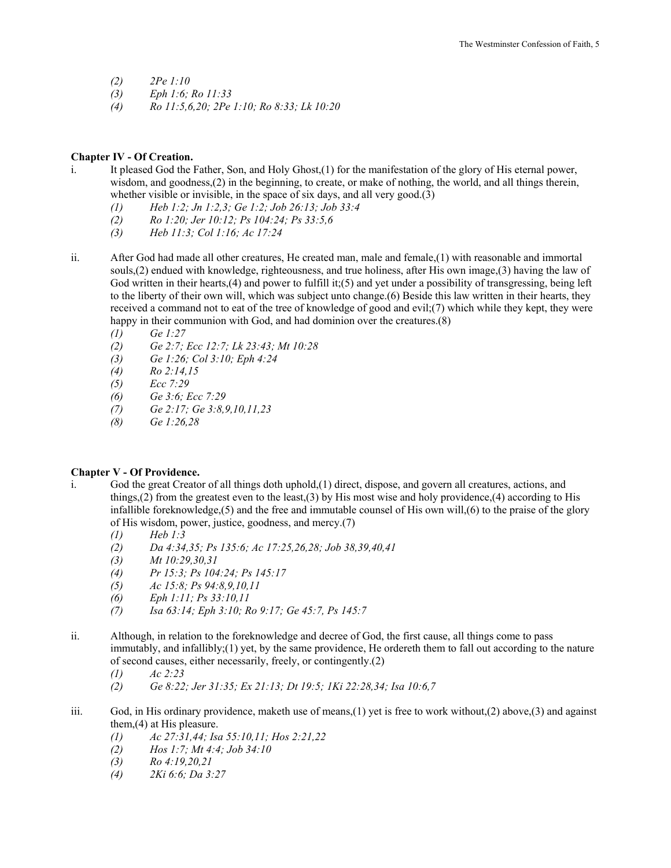- *(2) 2Pe 1:10*
- *(3) Eph 1:6; Ro 11:33*
- *(4) Ro 11:5,6,20; 2Pe 1:10; Ro 8:33; Lk 10:20*

## **Chapter IV - Of Creation.**

- i. It pleased God the Father, Son, and Holy Ghost,(1) for the manifestation of the glory of His eternal power, wisdom, and goodness,(2) in the beginning, to create, or make of nothing, the world, and all things therein, whether visible or invisible, in the space of six days, and all very good.(3)
	- *(1) Heb 1:2; Jn 1:2,3; Ge 1:2; Job 26:13; Job 33:4*
	- *(2) Ro 1:20; Jer 10:12; Ps 104:24; Ps 33:5,6*
	- *(3) Heb 11:3; Col 1:16; Ac 17:24*
- ii. After God had made all other creatures, He created man, male and female,(1) with reasonable and immortal souls,(2) endued with knowledge, righteousness, and true holiness, after His own image,(3) having the law of God written in their hearts, (4) and power to fulfill it; (5) and yet under a possibility of transgressing, being left to the liberty of their own will, which was subject unto change.(6) Beside this law written in their hearts, they received a command not to eat of the tree of knowledge of good and evil;(7) which while they kept, they were happy in their communion with God, and had dominion over the creatures.(8)
	- *(1) Ge 1:27*
	- *(2) Ge 2:7; Ecc 12:7; Lk 23:43; Mt 10:28*
	- *(3) Ge 1:26; Col 3:10; Eph 4:24*
	- *(4) Ro 2:14,15*
	- *(5) Ecc 7:29*
	- *(6) Ge 3:6; Ecc 7:29*
	- *(7) Ge 2:17; Ge 3:8,9,10,11,23*
	- *(8) Ge 1:26,28*

## **Chapter V - Of Providence.**

- i. God the great Creator of all things doth uphold,(1) direct, dispose, and govern all creatures, actions, and things,(2) from the greatest even to the least,(3) by His most wise and holy providence,(4) according to His infallible foreknowledge,(5) and the free and immutable counsel of His own will,(6) to the praise of the glory of His wisdom, power, justice, goodness, and mercy.(7)
	- *(1) Heb 1:3*
	- *(2) Da 4:34,35; Ps 135:6; Ac 17:25,26,28; Job 38,39,40,41*
	- *(3) Mt 10:29,30,31*
	- *(4) Pr 15:3; Ps 104:24; Ps 145:17*
	- *(5) Ac 15:8; Ps 94:8,9,10,11*
	- *(6) Eph 1:11; Ps 33:10,11*
	- *(7) Isa 63:14; Eph 3:10; Ro 9:17; Ge 45:7, Ps 145:7*
- ii. Although, in relation to the foreknowledge and decree of God, the first cause, all things come to pass immutably, and infallibly;(1) yet, by the same providence, He ordereth them to fall out according to the nature of second causes, either necessarily, freely, or contingently.(2)
	- *(1) Ac 2:23*
	- *(2) Ge 8:22; Jer 31:35; Ex 21:13; Dt 19:5; 1Ki 22:28,34; Isa 10:6,7*
- iii. God, in His ordinary providence, maketh use of means, $(1)$  yet is free to work without, $(2)$  above, $(3)$  and against them,(4) at His pleasure.
	- *(1) Ac 27:31,44; Isa 55:10,11; Hos 2:21,22*
	- *(2) Hos 1:7; Mt 4:4; Job 34:10*
	- *(3) Ro 4:19,20,21*
	- *(4) 2Ki 6:6; Da 3:27*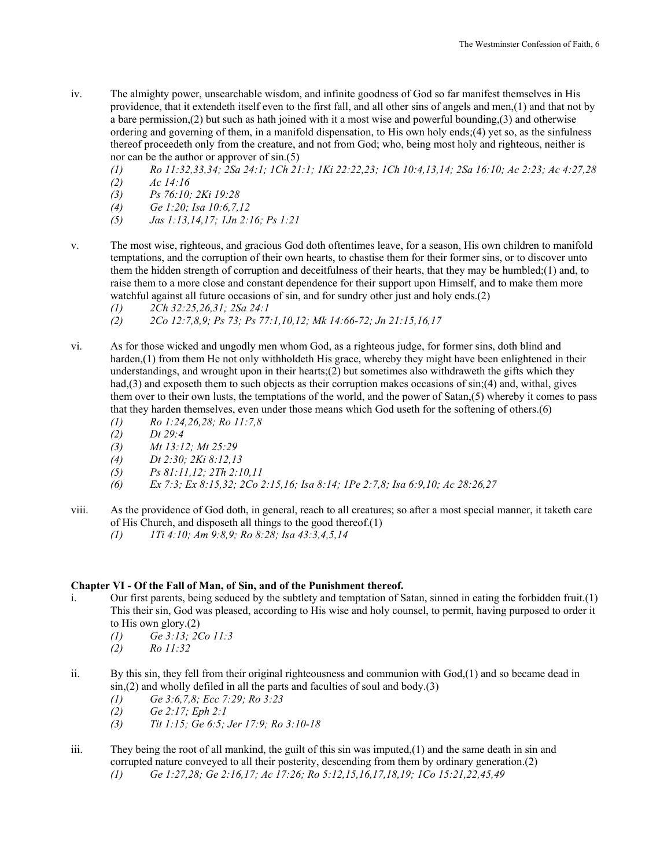- iv. The almighty power, unsearchable wisdom, and infinite goodness of God so far manifest themselves in His providence, that it extendeth itself even to the first fall, and all other sins of angels and men,(1) and that not by a bare permission,(2) but such as hath joined with it a most wise and powerful bounding,(3) and otherwise ordering and governing of them, in a manifold dispensation, to His own holy ends;(4) yet so, as the sinfulness thereof proceedeth only from the creature, and not from God; who, being most holy and righteous, neither is nor can be the author or approver of sin.(5)
	- *(1) Ro 11:32,33,34; 2Sa 24:1; 1Ch 21:1; 1Ki 22:22,23; 1Ch 10:4,13,14; 2Sa 16:10; Ac 2:23; Ac 4:27,28*
	- *(2) Ac 14:16*
	- *(3) Ps 76:10; 2Ki 19:28*
	- *(4) Ge 1:20; Isa 10:6,7,12*
	- *(5) Jas 1:13,14,17; 1Jn 2:16; Ps 1:21*
- v. The most wise, righteous, and gracious God doth oftentimes leave, for a season, His own children to manifold temptations, and the corruption of their own hearts, to chastise them for their former sins, or to discover unto them the hidden strength of corruption and deceitfulness of their hearts, that they may be humbled;(1) and, to raise them to a more close and constant dependence for their support upon Himself, and to make them more watchful against all future occasions of sin, and for sundry other just and holy ends.(2)
	- *(1) 2Ch 32:25,26,31; 2Sa 24:1*
	- *(2) 2Co 12:7,8,9; Ps 73; Ps 77:1,10,12; Mk 14:66-72; Jn 21:15,16,17*
- vi. As for those wicked and ungodly men whom God, as a righteous judge, for former sins, doth blind and harden,(1) from them He not only withholdeth His grace, whereby they might have been enlightened in their understandings, and wrought upon in their hearts; $(2)$  but sometimes also withdraweth the gifts which they had,(3) and exposeth them to such objects as their corruption makes occasions of sin;(4) and, withal, gives them over to their own lusts, the temptations of the world, and the power of Satan,(5) whereby it comes to pass that they harden themselves, even under those means which God useth for the softening of others.(6)
	- *(1) Ro 1:24,26,28; Ro 11:7,8*
	- *(2) Dt 29:4*
	- *(3) Mt 13:12; Mt 25:29*
	- *(4) Dt 2:30; 2Ki 8:12,13*
	- *(5) Ps 81:11,12; 2Th 2:10,11*
	- *(6) Ex 7:3; Ex 8:15,32; 2Co 2:15,16; Isa 8:14; 1Pe 2:7,8; Isa 6:9,10; Ac 28:26,27*
- viii. As the providence of God doth, in general, reach to all creatures; so after a most special manner, it taketh care of His Church, and disposeth all things to the good thereof.(1)
	- *(1) 1Ti 4:10; Am 9:8,9; Ro 8:28; Isa 43:3,4,5,14*

## **Chapter VI - Of the Fall of Man, of Sin, and of the Punishment thereof.**

- i. Our first parents, being seduced by the subtlety and temptation of Satan, sinned in eating the forbidden fruit.(1) This their sin, God was pleased, according to His wise and holy counsel, to permit, having purposed to order it to His own glory.(2)
	- *(1) Ge 3:13; 2Co 11:3*
	- *(2) Ro 11:32*
- ii. By this sin, they fell from their original righteousness and communion with God,(1) and so became dead in  $\sin(2)$  and wholly defiled in all the parts and faculties of soul and body.(3)
	- *(1) Ge 3:6,7,8; Ecc 7:29; Ro 3:23*
	- *(2) Ge 2:17; Eph 2:1*
	- *(3) Tit 1:15; Ge 6:5; Jer 17:9; Ro 3:10-18*
- iii. They being the root of all mankind, the guilt of this sin was imputed.(1) and the same death in sin and corrupted nature conveyed to all their posterity, descending from them by ordinary generation.(2)
	- *(1) Ge 1:27,28; Ge 2:16,17; Ac 17:26; Ro 5:12,15,16,17,18,19; 1Co 15:21,22,45,49*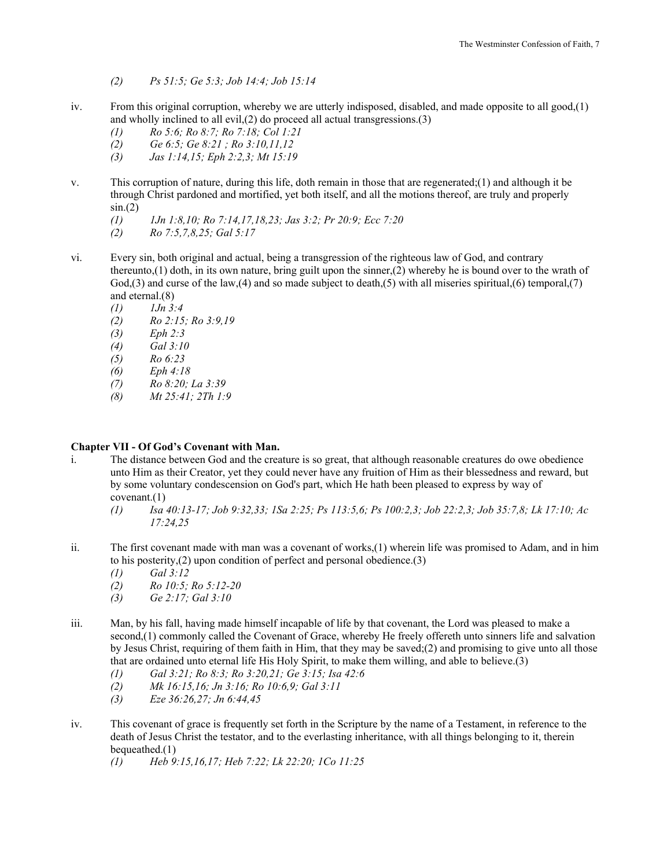- *(2) Ps 51:5; Ge 5:3; Job 14:4; Job 15:14*
- iv. From this original corruption, whereby we are utterly indisposed, disabled, and made opposite to all good,(1) and wholly inclined to all evil,(2) do proceed all actual transgressions.(3)
	- *(1) Ro 5:6; Ro 8:7; Ro 7:18; Col 1:21*
	- *(2) Ge 6:5; Ge 8:21 ; Ro 3:10,11,12*
	- *(3) Jas 1:14,15; Eph 2:2,3; Mt 15:19*
- v. This corruption of nature, during this life, doth remain in those that are regenerated;(1) and although it be through Christ pardoned and mortified, yet both itself, and all the motions thereof, are truly and properly  $sin(2)$ 
	- *(1) 1Jn 1:8,10; Ro 7:14,17,18,23; Jas 3:2; Pr 20:9; Ecc 7:20*
	- *(2) Ro 7:5,7,8,25; Gal 5:17*
- vi. Every sin, both original and actual, being a transgression of the righteous law of God, and contrary thereunto,(1) doth, in its own nature, bring guilt upon the sinner,(2) whereby he is bound over to the wrath of  $God(3)$  and curse of the law,(4) and so made subject to death,(5) with all miseries spiritual,(6) temporal,(7) and eternal.(8)
	- *(1) 1Jn 3:4*
	- *(2) Ro 2:15; Ro 3:9,19*
	- *(3) Eph 2:3*
	- *(4) Gal 3:10*
	- *(5) Ro 6:23*
	- *(6) Eph 4:18*
	- *(7) Ro 8:20; La 3:39*
	- *(8) Mt 25:41; 2Th 1:9*

# **Chapter VII - Of God's Covenant with Man.**

- i. The distance between God and the creature is so great, that although reasonable creatures do owe obedience unto Him as their Creator, yet they could never have any fruition of Him as their blessedness and reward, but by some voluntary condescension on God's part, which He hath been pleased to express by way of covenant.(1)
	- *(1) Isa 40:13-17; Job 9:32,33; 1Sa 2:25; Ps 113:5,6; Ps 100:2,3; Job 22:2,3; Job 35:7,8; Lk 17:10; Ac 17:24,25*
- ii. The first covenant made with man was a covenant of works,(1) wherein life was promised to Adam, and in him to his posterity,(2) upon condition of perfect and personal obedience.(3)
	- *(1) Gal 3:12*
	- *(2) Ro 10:5; Ro 5:12-20*
	- *(3) Ge 2:17; Gal 3:10*
- iii. Man, by his fall, having made himself incapable of life by that covenant, the Lord was pleased to make a second,(1) commonly called the Covenant of Grace, whereby He freely offereth unto sinners life and salvation by Jesus Christ, requiring of them faith in Him, that they may be saved;(2) and promising to give unto all those that are ordained unto eternal life His Holy Spirit, to make them willing, and able to believe.(3)
	- *(1) Gal 3:21; Ro 8:3; Ro 3:20,21; Ge 3:15; Isa 42:6*
	- *(2) Mk 16:15,16; Jn 3:16; Ro 10:6,9; Gal 3:11*
	- *(3) Eze 36:26,27; Jn 6:44,45*
- iv. This covenant of grace is frequently set forth in the Scripture by the name of a Testament, in reference to the death of Jesus Christ the testator, and to the everlasting inheritance, with all things belonging to it, therein bequeathed.(1)
	- *(1) Heb 9:15,16,17; Heb 7:22; Lk 22:20; 1Co 11:25*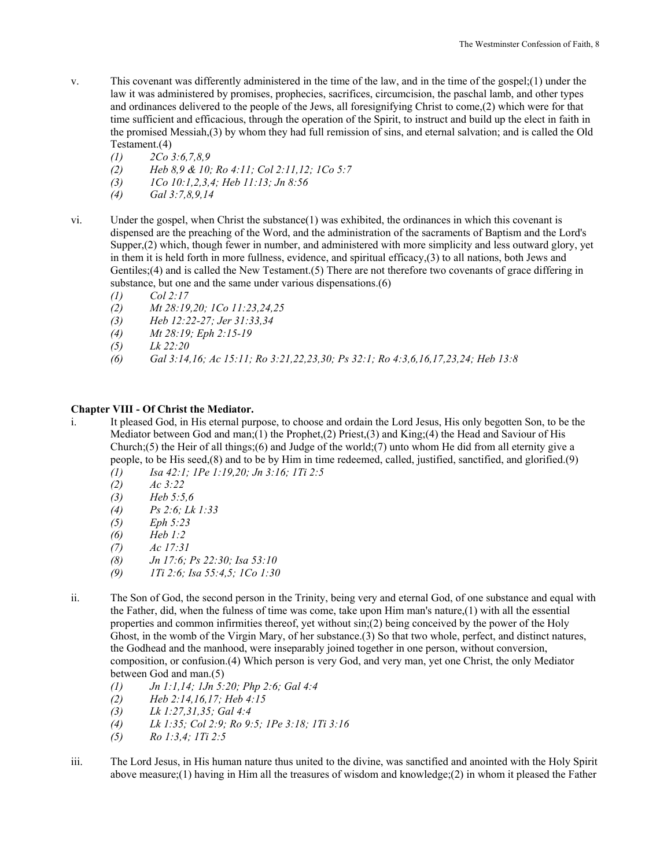- v. This covenant was differently administered in the time of the law, and in the time of the gospel;(1) under the law it was administered by promises, prophecies, sacrifices, circumcision, the paschal lamb, and other types and ordinances delivered to the people of the Jews, all foresignifying Christ to come,(2) which were for that time sufficient and efficacious, through the operation of the Spirit, to instruct and build up the elect in faith in the promised Messiah,(3) by whom they had full remission of sins, and eternal salvation; and is called the Old Testament.(4)
	- *(1) 2Co 3:6,7,8,9*
	- *(2) Heb 8,9 & 10; Ro 4:11; Col 2:11,12; 1Co 5:7*
	- *(3) 1Co 10:1,2,3,4; Heb 11:13; Jn 8:56*
	- *(4) Gal 3:7,8,9,14*
- vi. Under the gospel, when Christ the substance(1) was exhibited, the ordinances in which this covenant is dispensed are the preaching of the Word, and the administration of the sacraments of Baptism and the Lord's Supper,(2) which, though fewer in number, and administered with more simplicity and less outward glory, yet in them it is held forth in more fullness, evidence, and spiritual efficacy,(3) to all nations, both Jews and Gentiles;(4) and is called the New Testament.(5) There are not therefore two covenants of grace differing in substance, but one and the same under various dispensations.(6)
	- *(1) Col 2:17*
	- *(2) Mt 28:19,20; 1Co 11:23,24,25*
	- *(3) Heb 12:22-27; Jer 31:33,34*
	- *(4) Mt 28:19; Eph 2:15-19*
	- *(5) Lk 22:20*
	- *(6) Gal 3:14,16; Ac 15:11; Ro 3:21,22,23,30; Ps 32:1; Ro 4:3,6,16,17,23,24; Heb 13:8*

## **Chapter VIII - Of Christ the Mediator.**

- i. It pleased God, in His eternal purpose, to choose and ordain the Lord Jesus, His only begotten Son, to be the Mediator between God and man;(1) the Prophet,(2) Priest,(3) and King;(4) the Head and Saviour of His Church;(5) the Heir of all things;(6) and Judge of the world;(7) unto whom He did from all eternity give a people, to be His seed,(8) and to be by Him in time redeemed, called, justified, sanctified, and glorified.(9)
	- *(1) Isa 42:1; 1Pe 1:19,20; Jn 3:16; 1Ti 2:5*
	- *(2) Ac 3:22*
	- *(3) Heb 5:5,6*
	- *(4) Ps 2:6; Lk 1:33*
	- *(5) Eph 5:23*
	- *(6) Heb 1:2*
	- *(7) Ac 17:31*
	- *(8) Jn 17:6; Ps 22:30; Isa 53:10*
	- *(9) 1Ti 2:6; Isa 55:4,5; 1Co 1:30*
- ii. The Son of God, the second person in the Trinity, being very and eternal God, of one substance and equal with the Father, did, when the fulness of time was come, take upon Him man's nature,(1) with all the essential properties and common infirmities thereof, yet without sin;(2) being conceived by the power of the Holy Ghost, in the womb of the Virgin Mary, of her substance.(3) So that two whole, perfect, and distinct natures, the Godhead and the manhood, were inseparably joined together in one person, without conversion, composition, or confusion.(4) Which person is very God, and very man, yet one Christ, the only Mediator between God and man.(5)
	- *(1) Jn 1:1,14; 1Jn 5:20; Php 2:6; Gal 4:4*
	- *(2) Heb 2:14,16,17; Heb 4:15*
	- *(3) Lk 1:27,31,35; Gal 4:4*
	- *(4) Lk 1:35; Col 2:9; Ro 9:5; 1Pe 3:18; 1Ti 3:16*
	- *(5) Ro 1:3,4; 1Ti 2:5*
- iii. The Lord Jesus, in His human nature thus united to the divine, was sanctified and anointed with the Holy Spirit above measure;(1) having in Him all the treasures of wisdom and knowledge;(2) in whom it pleased the Father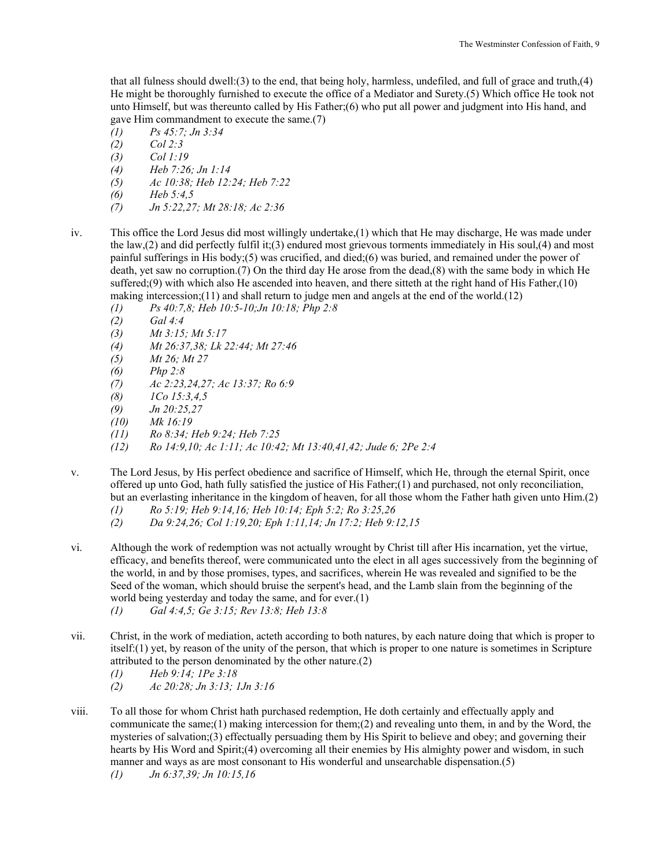that all fulness should dwell:(3) to the end, that being holy, harmless, undefiled, and full of grace and truth,(4) He might be thoroughly furnished to execute the office of a Mediator and Surety.(5) Which office He took not unto Himself, but was thereunto called by His Father;(6) who put all power and judgment into His hand, and gave Him commandment to execute the same.(7)

- *(1) Ps 45:7; Jn 3:34*
- *(2) Col 2:3*
- *(3) Col 1:19*
- *(4) Heb 7:26; Jn 1:14*
- *(5) Ac 10:38; Heb 12:24; Heb 7:22*
- *(6) Heb 5:4,5*
- *(7) Jn 5:22,27; Mt 28:18; Ac 2:36*
- iv. This office the Lord Jesus did most willingly undertake,(1) which that He may discharge, He was made under the law,(2) and did perfectly fulfil it;(3) endured most grievous torments immediately in His soul,(4) and most painful sufferings in His body;(5) was crucified, and died;(6) was buried, and remained under the power of death, yet saw no corruption.(7) On the third day He arose from the dead,(8) with the same body in which He suffered;(9) with which also He ascended into heaven, and there sitteth at the right hand of His Father,(10) making intercession;(11) and shall return to judge men and angels at the end of the world.(12)
	- *(1) Ps 40:7,8; Heb 10:5-10;Jn 10:18; Php 2:8*
	- *(2) Gal 4:4*
	- *(3) Mt 3:15; Mt 5:17*
	- *(4) Mt 26:37,38; Lk 22:44; Mt 27:46*
	- *(5) Mt 26; Mt 27*
	- *(6) Php 2:8*
	- *(7) Ac 2:23,24,27; Ac 13:37; Ro 6:9*
	- *(8) 1Co 15:3,4,5*
	- *(9) Jn 20:25,27*
	- *(10) Mk 16:19*
	- *(11) Ro 8:34; Heb 9:24; Heb 7:25*
	- *(12) Ro 14:9,10; Ac 1:11; Ac 10:42; Mt 13:40,41,42; Jude 6; 2Pe 2:4*
- v. The Lord Jesus, by His perfect obedience and sacrifice of Himself, which He, through the eternal Spirit, once offered up unto God, hath fully satisfied the justice of His Father;(1) and purchased, not only reconciliation, but an everlasting inheritance in the kingdom of heaven, for all those whom the Father hath given unto Him.(2)
	- *(1) Ro 5:19; Heb 9:14,16; Heb 10:14; Eph 5:2; Ro 3:25,26*
	- *(2) Da 9:24,26; Col 1:19,20; Eph 1:11,14; Jn 17:2; Heb 9:12,15*
- vi. Although the work of redemption was not actually wrought by Christ till after His incarnation, yet the virtue, efficacy, and benefits thereof, were communicated unto the elect in all ages successively from the beginning of the world, in and by those promises, types, and sacrifices, wherein He was revealed and signified to be the Seed of the woman, which should bruise the serpent's head, and the Lamb slain from the beginning of the world being yesterday and today the same, and for ever.(1)
	- *(1) Gal 4:4,5; Ge 3:15; Rev 13:8; Heb 13:8*
- vii. Christ, in the work of mediation, acteth according to both natures, by each nature doing that which is proper to itself:(1) yet, by reason of the unity of the person, that which is proper to one nature is sometimes in Scripture attributed to the person denominated by the other nature.(2)
	- *(1) Heb 9:14; 1Pe 3:18*
	- *(2) Ac 20:28; Jn 3:13; 1Jn 3:16*
- viii. To all those for whom Christ hath purchased redemption, He doth certainly and effectually apply and communicate the same; $(1)$  making intercession for them; $(2)$  and revealing unto them, in and by the Word, the mysteries of salvation;(3) effectually persuading them by His Spirit to believe and obey; and governing their hearts by His Word and Spirit;(4) overcoming all their enemies by His almighty power and wisdom, in such manner and ways as are most consonant to His wonderful and unsearchable dispensation.(5)
	- *(1) Jn 6:37,39; Jn 10:15,16*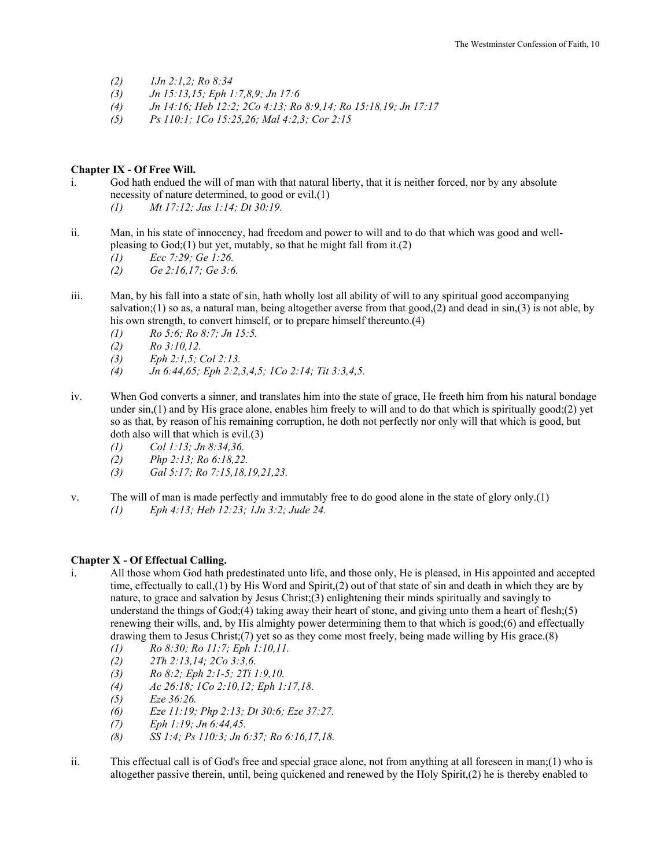- *(2) 1Jn 2:1,2; Ro 8:34*
- *(3) Jn 15:13,15; Eph 1:7,8,9; Jn 17:6*
- *(4) Jn 14:16; Heb 12:2; 2Co 4:13; Ro 8:9,14; Ro 15:18,19; Jn 17:17*
- *(5) Ps 110:1; 1Co 15:25,26; Mal 4:2,3; Cor 2:15*

## **Chapter IX - Of Free Will.**

- i. God hath endued the will of man with that natural liberty, that it is neither forced, nor by any absolute necessity of nature determined, to good or evil.(1)
	- *(1) Mt 17:12; Jas 1:14; Dt 30:19.*
- ii. Man, in his state of innocency, had freedom and power to will and to do that which was good and wellpleasing to  $God(1)$  but yet, mutably, so that he might fall from it.(2)
	- *(1) Ecc 7:29; Ge 1:26.*
	- *(2) Ge 2:16,17; Ge 3:6.*
- iii. Man, by his fall into a state of sin, hath wholly lost all ability of will to any spiritual good accompanying salvation;(1) so as, a natural man, being altogether averse from that good, $(2)$  and dead in sin, $(3)$  is not able, by his own strength, to convert himself, or to prepare himself thereunto.(4)
	- *(1) Ro 5:6; Ro 8:7; Jn 15:5.*
	- *(2) Ro 3:10,12.*
	- *(3) Eph 2:1,5; Col 2:13.*
	- *(4) Jn 6:44,65; Eph 2:2,3,4,5; 1Co 2:14; Tit 3:3,4,5.*
- iv. When God converts a sinner, and translates him into the state of grace, He freeth him from his natural bondage under  $sin(1)$  and by His grace alone, enables him freely to will and to do that which is spiritually good;(2) yet so as that, by reason of his remaining corruption, he doth not perfectly nor only will that which is good, but doth also will that which is evil.(3)
	- *(1) Col 1:13; Jn 8:34,36.*
	- *(2) Php 2:13; Ro 6:18,22.*
	- *(3) Gal 5:17; Ro 7:15,18,19,21,23.*
- v. The will of man is made perfectly and immutably free to do good alone in the state of glory only.(1)
	- *(1) Eph 4:13; Heb 12:23; 1Jn 3:2; Jude 24.*

## **Chapter X - Of Effectual Calling.**

- i. All those whom God hath predestinated unto life, and those only, He is pleased, in His appointed and accepted time, effectually to call,(1) by His Word and Spirit,(2) out of that state of sin and death in which they are by nature, to grace and salvation by Jesus Christ;(3) enlightening their minds spiritually and savingly to understand the things of God;(4) taking away their heart of stone, and giving unto them a heart of flesh;(5) renewing their wills, and, by His almighty power determining them to that which is good;(6) and effectually drawing them to Jesus Christ;(7) yet so as they come most freely, being made willing by His grace.(8)
	- *(1) Ro 8:30; Ro 11:7; Eph 1:10,11.*
	- *(2) 2Th 2:13,14; 2Co 3:3,6.*
	- *(3) Ro 8:2; Eph 2:1-5; 2Ti 1:9,10.*
	- *(4) Ac 26:18; 1Co 2:10,12; Eph 1:17,18.*
	- *(5) Eze 36:26.*
	- *(6) Eze 11:19; Php 2:13; Dt 30:6; Eze 37:27.*
	- *(7) Eph 1:19; Jn 6:44,45.*
	- *(8) SS 1:4; Ps 110:3; Jn 6:37; Ro 6:16,17,18.*
- ii. This effectual call is of God's free and special grace alone, not from anything at all foreseen in man;(1) who is altogether passive therein, until, being quickened and renewed by the Holy Spirit,(2) he is thereby enabled to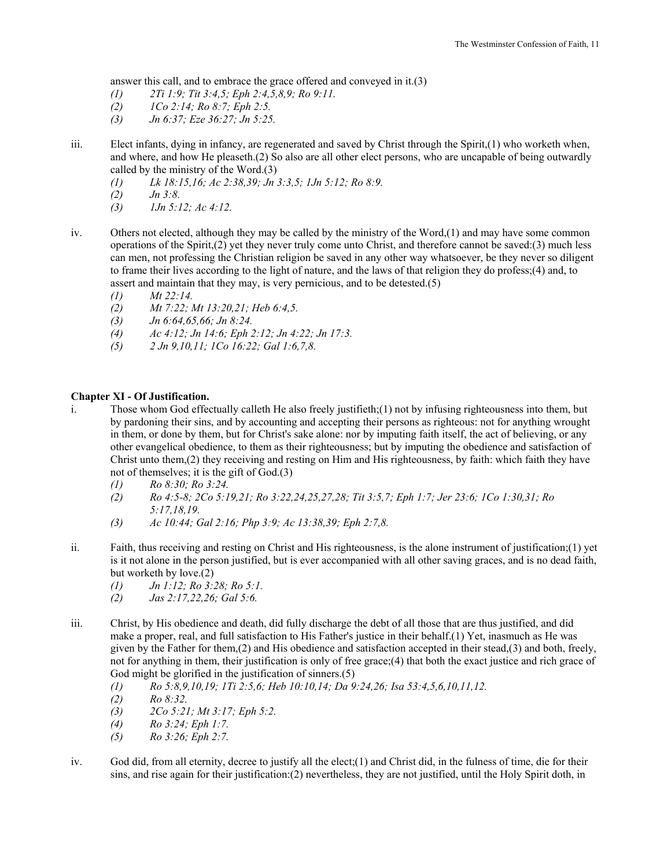answer this call, and to embrace the grace offered and conveyed in it.(3)

- *(1) 2Ti 1:9; Tit 3:4,5; Eph 2:4,5,8,9; Ro 9:11.*
- *(2) 1Co 2:14; Ro 8:7; Eph 2:5.*
- *(3) Jn 6:37; Eze 36:27; Jn 5:25.*
- iii. Elect infants, dying in infancy, are regenerated and saved by Christ through the Spirit,(1) who worketh when, and where, and how He pleaseth.(2) So also are all other elect persons, who are uncapable of being outwardly called by the ministry of the Word.(3)
	- *(1) Lk 18:15,16; Ac 2:38,39; Jn 3:3,5; 1Jn 5:12; Ro 8:9.*
	- *(2) Jn 3:8.*
	- *(3) 1Jn 5:12; Ac 4:12.*
- iv. Others not elected, although they may be called by the ministry of the Word,(1) and may have some common operations of the Spirit,(2) yet they never truly come unto Christ, and therefore cannot be saved:(3) much less can men, not professing the Christian religion be saved in any other way whatsoever, be they never so diligent to frame their lives according to the light of nature, and the laws of that religion they do profess;(4) and, to assert and maintain that they may, is very pernicious, and to be detested.(5)
	- *(1) Mt 22:14.*
	- *(2) Mt 7:22; Mt 13:20,21; Heb 6:4,5.*
	- *(3) Jn 6:64,65,66; Jn 8:24.*
	- *(4) Ac 4:12; Jn 14:6; Eph 2:12; Jn 4:22; Jn 17:3.*
	- *(5) 2 Jn 9,10,11; 1Co 16:22; Gal 1:6,7,8.*

## **Chapter XI - Of Justification.**

- i. Those whom God effectually calleth He also freely justifieth;(1) not by infusing righteousness into them, but by pardoning their sins, and by accounting and accepting their persons as righteous: not for anything wrought in them, or done by them, but for Christ's sake alone: nor by imputing faith itself, the act of believing, or any other evangelical obedience, to them as their righteousness; but by imputing the obedience and satisfaction of Christ unto them,(2) they receiving and resting on Him and His righteousness, by faith: which faith they have not of themselves; it is the gift of God.(3)
	- *(1) Ro 8:30; Ro 3:24.*
	- *(2) Ro 4:5-8; 2Co 5:19,21; Ro 3:22,24,25,27,28; Tit 3:5,7; Eph 1:7; Jer 23:6; 1Co 1:30,31; Ro 5:17,18,19.*
	- *(3) Ac 10:44; Gal 2:16; Php 3:9; Ac 13:38,39; Eph 2:7,8.*
- ii. Faith, thus receiving and resting on Christ and His righteousness, is the alone instrument of justification;(1) yet is it not alone in the person justified, but is ever accompanied with all other saving graces, and is no dead faith, but worketh by love.(2)
	- *(1) Jn 1:12; Ro 3:28; Ro 5:1.*
	- *(2) Jas 2:17,22,26; Gal 5:6.*
- iii. Christ, by His obedience and death, did fully discharge the debt of all those that are thus justified, and did make a proper, real, and full satisfaction to His Father's justice in their behalf.(1) Yet, inasmuch as He was given by the Father for them,(2) and His obedience and satisfaction accepted in their stead,(3) and both, freely, not for anything in them, their justification is only of free grace;(4) that both the exact justice and rich grace of God might be glorified in the justification of sinners.(5)
	- *(1) Ro 5:8,9,10,19; 1Ti 2:5,6; Heb 10:10,14; Da 9:24,26; Isa 53:4,5,6,10,11,12.*
	- *(2) Ro 8:32.*
	- *(3) 2Co 5:21; Mt 3:17; Eph 5:2.*
	- *(4) Ro 3:24; Eph 1:7.*
	- *(5) Ro 3:26; Eph 2:7.*
- iv. God did, from all eternity, decree to justify all the elect;(1) and Christ did, in the fulness of time, die for their sins, and rise again for their justification:(2) nevertheless, they are not justified, until the Holy Spirit doth, in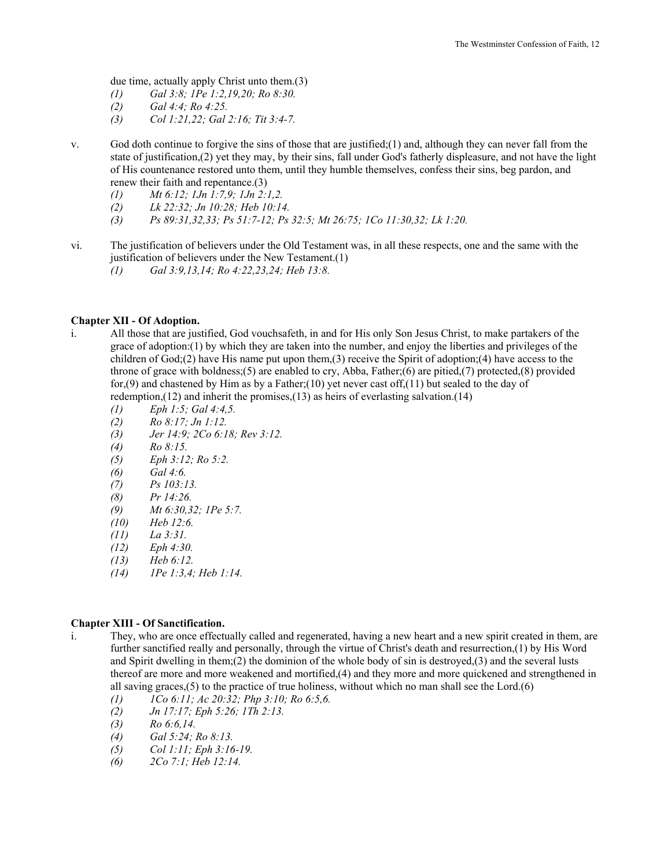due time, actually apply Christ unto them.(3)

- *(1) Gal 3:8; 1Pe 1:2,19,20; Ro 8:30.*
- *(2) Gal 4:4; Ro 4:25.*
- *(3) Col 1:21,22; Gal 2:16; Tit 3:4-7.*
- v. God doth continue to forgive the sins of those that are justified;(1) and, although they can never fall from the state of justification,(2) yet they may, by their sins, fall under God's fatherly displeasure, and not have the light of His countenance restored unto them, until they humble themselves, confess their sins, beg pardon, and renew their faith and repentance.(3)
	- *(1) Mt 6:12; 1Jn 1:7,9; 1Jn 2:1,2.*
	- *(2) Lk 22:32; Jn 10:28; Heb 10:14.*
	- *(3) Ps 89:31,32,33; Ps 51:7-12; Ps 32:5; Mt 26:75; 1Co 11:30,32; Lk 1:20.*
- vi. The justification of believers under the Old Testament was, in all these respects, one and the same with the justification of believers under the New Testament.(1)
	- *(1) Gal 3:9,13,14; Ro 4:22,23,24; Heb 13:8.*

#### **Chapter XII - Of Adoption.**

- i. All those that are justified, God vouchsafeth, in and for His only Son Jesus Christ, to make partakers of the grace of adoption:(1) by which they are taken into the number, and enjoy the liberties and privileges of the children of  $God(2)$  have His name put upon them,(3) receive the Spirit of adoption;(4) have access to the throne of grace with boldness;(5) are enabled to cry, Abba, Father;(6) are pitied,(7) protected,(8) provided for,(9) and chastened by Him as by a Father;(10) yet never cast off,(11) but sealed to the day of redemption,(12) and inherit the promises,(13) as heirs of everlasting salvation.(14)
	- *(1) Eph 1:5; Gal 4:4,5.*
	- *(2) Ro 8:17; Jn 1:12.*
	- *(3) Jer 14:9; 2Co 6:18; Rev 3:12.*
	- *(4) Ro 8:15.*
	- *(5) Eph 3:12; Ro 5:2.*
	- *(6) Gal 4:6.*
	- *(7) Ps 103:13.*
	- *(8) Pr 14:26.*
	- *(9) Mt 6:30,32; 1Pe 5:7.*
	- *(10) Heb 12:6.*
	- *(11) La 3:31.*
	- *(12) Eph 4:30.*
	- *(13) Heb 6:12.*
	- *(14) 1Pe 1:3,4; Heb 1:14.*

#### **Chapter XIII - Of Sanctification.**

- i. They, who are once effectually called and regenerated, having a new heart and a new spirit created in them, are further sanctified really and personally, through the virtue of Christ's death and resurrection,(1) by His Word and Spirit dwelling in them;(2) the dominion of the whole body of sin is destroyed,(3) and the several lusts thereof are more and more weakened and mortified,(4) and they more and more quickened and strengthened in all saving graces,(5) to the practice of true holiness, without which no man shall see the Lord.(6)
	- *(1) 1Co 6:11; Ac 20:32; Php 3:10; Ro 6:5,6.*
	- *(2) Jn 17:17; Eph 5:26; 1Th 2:13.*
	- *(3) Ro 6:6,14.*
	- *(4) Gal 5:24; Ro 8:13.*
	- *(5) Col 1:11; Eph 3:16-19.*
	- *(6) 2Co 7:1; Heb 12:14.*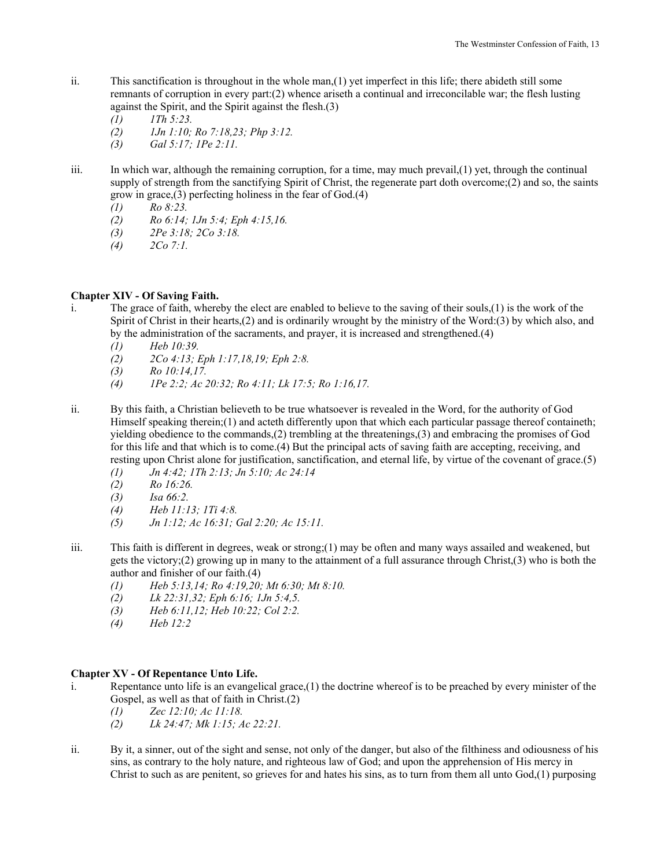- ii. This sanctification is throughout in the whole man,(1) yet imperfect in this life; there abideth still some remnants of corruption in every part:(2) whence ariseth a continual and irreconcilable war; the flesh lusting against the Spirit, and the Spirit against the flesh.(3)
	- *(1) 1Th 5:23. (2) 1Jn 1:10; Ro 7:18,23; Php 3:12.*
	- *(3) Gal 5:17; 1Pe 2:11.*
- iii. In which war, although the remaining corruption, for a time, may much prevail,(1) yet, through the continual supply of strength from the sanctifying Spirit of Christ, the regenerate part doth overcome;(2) and so, the saints grow in grace,(3) perfecting holiness in the fear of God.(4)
	- *(1) Ro 8:23.*
	- *(2) Ro 6:14; 1Jn 5:4; Eph 4:15,16.*
	- *(3) 2Pe 3:18; 2Co 3:18.*
	- *(4) 2Co 7:1.*

# **Chapter XIV - Of Saving Faith.**

- i. The grace of faith, whereby the elect are enabled to believe to the saving of their souls,(1) is the work of the Spirit of Christ in their hearts,(2) and is ordinarily wrought by the ministry of the Word:(3) by which also, and by the administration of the sacraments, and prayer, it is increased and strengthened.(4)
	- *(1) Heb 10:39.*
	- *(2) 2Co 4:13; Eph 1:17,18,19; Eph 2:8.*
	- *(3) Ro 10:14,17.*
	- *(4) 1Pe 2:2; Ac 20:32; Ro 4:11; Lk 17:5; Ro 1:16,17.*
- ii. By this faith, a Christian believeth to be true whatsoever is revealed in the Word, for the authority of God Himself speaking therein;(1) and acteth differently upon that which each particular passage thereof containeth; yielding obedience to the commands,(2) trembling at the threatenings,(3) and embracing the promises of God for this life and that which is to come.(4) But the principal acts of saving faith are accepting, receiving, and resting upon Christ alone for justification, sanctification, and eternal life, by virtue of the covenant of grace.(5)
	- *(1) Jn 4:42; 1Th 2:13; Jn 5:10; Ac 24:14*
	- *(2) Ro 16:26.*
	- *(3) Isa 66:2.*
	- *(4) Heb 11:13; 1Ti 4:8.*
	- *(5) Jn 1:12; Ac 16:31; Gal 2:20; Ac 15:11.*
- iii. This faith is different in degrees, weak or strong;(1) may be often and many ways assailed and weakened, but gets the victory;(2) growing up in many to the attainment of a full assurance through Christ,(3) who is both the author and finisher of our faith.(4)
	- *(1) Heb 5:13,14; Ro 4:19,20; Mt 6:30; Mt 8:10.*
	- *(2) Lk 22:31,32; Eph 6:16; 1Jn 5:4,5.*
	- *(3) Heb 6:11,12; Heb 10:22; Col 2:2.*
	- *(4) Heb 12:2*

# **Chapter XV - Of Repentance Unto Life.**

- i. Repentance unto life is an evangelical grace,(1) the doctrine whereof is to be preached by every minister of the Gospel, as well as that of faith in Christ.(2)
	- *(1) Zec 12:10; Ac 11:18.*
	- *(2) Lk 24:47; Mk 1:15; Ac 22:21.*
- ii. By it, a sinner, out of the sight and sense, not only of the danger, but also of the filthiness and odiousness of his sins, as contrary to the holy nature, and righteous law of God; and upon the apprehension of His mercy in Christ to such as are penitent, so grieves for and hates his sins, as to turn from them all unto God,(1) purposing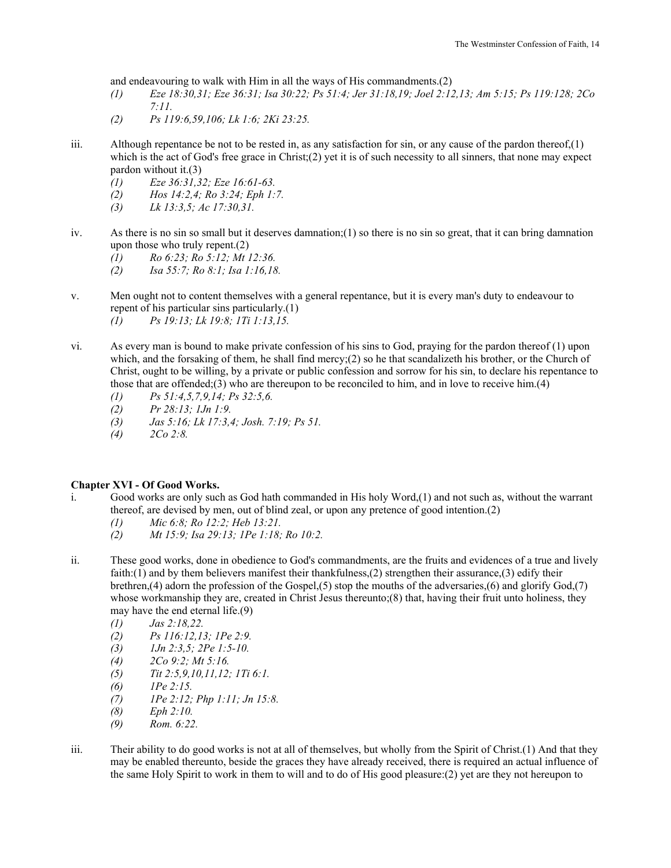and endeavouring to walk with Him in all the ways of His commandments.(2)

- *(1) Eze 18:30,31; Eze 36:31; Isa 30:22; Ps 51:4; Jer 31:18,19; Joel 2:12,13; Am 5:15; Ps 119:128; 2Co 7:11.*
- *(2) Ps 119:6,59,106; Lk 1:6; 2Ki 23:25.*
- iii. Although repentance be not to be rested in, as any satisfaction for sin, or any cause of the pardon thereof, $(1)$ which is the act of God's free grace in Christ;(2) yet it is of such necessity to all sinners, that none may expect pardon without it.(3)
	- *(1) Eze 36:31,32; Eze 16:61-63.*
	- *(2) Hos 14:2,4; Ro 3:24; Eph 1:7.*
	- *(3) Lk 13:3,5; Ac 17:30,31.*
- iv. As there is no sin so small but it deserves damnation;(1) so there is no sin so great, that it can bring damnation upon those who truly repent.(2)
	- *(1) Ro 6:23; Ro 5:12; Mt 12:36.*
	- *(2) Isa 55:7; Ro 8:1; Isa 1:16,18.*
- v. Men ought not to content themselves with a general repentance, but it is every man's duty to endeavour to repent of his particular sins particularly.(1) *(1) Ps 19:13; Lk 19:8; 1Ti 1:13,15.*
- vi. As every man is bound to make private confession of his sins to God, praying for the pardon thereof (1) upon which, and the forsaking of them, he shall find mercy;(2) so he that scandalizeth his brother, or the Church of Christ, ought to be willing, by a private or public confession and sorrow for his sin, to declare his repentance to those that are offended;(3) who are thereupon to be reconciled to him, and in love to receive him.(4)
	- *(1) Ps 51:4,5,7,9,14; Ps 32:5,6.*
	- *(2) Pr 28:13; 1Jn 1:9.*
	- *(3) Jas 5:16; Lk 17:3,4; Josh. 7:19; Ps 51.*
	- *(4) 2Co 2:8.*

## **Chapter XVI - Of Good Works.**

- i. Good works are only such as God hath commanded in His holy Word,(1) and not such as, without the warrant thereof, are devised by men, out of blind zeal, or upon any pretence of good intention.(2)
	- *(1) Mic 6:8; Ro 12:2; Heb 13:21.*
	- *(2) Mt 15:9; Isa 29:13; 1Pe 1:18; Ro 10:2.*
- ii. These good works, done in obedience to God's commandments, are the fruits and evidences of a true and lively faith:(1) and by them believers manifest their thankfulness,(2) strengthen their assurance,(3) edify their brethren,(4) adorn the profession of the Gospel,(5) stop the mouths of the adversaries,(6) and glorify God,(7) whose workmanship they are, created in Christ Jesus thereunto;(8) that, having their fruit unto holiness, they may have the end eternal life.(9)
	- *(1) Jas 2:18,22.*
	- *(2) Ps 116:12,13; 1Pe 2:9.*
	- *(3) 1Jn 2:3,5; 2Pe 1:5-10.*
	- *(4) 2Co 9:2; Mt 5:16.*
	- *(5) Tit 2:5,9,10,11,12; 1Ti 6:1.*
	- *(6) 1Pe 2:15.*
	- *(7) 1Pe 2:12; Php 1:11; Jn 15:8.*
	- *(8) Eph 2:10.*
	- *(9) Rom. 6:22.*
- iii. Their ability to do good works is not at all of themselves, but wholly from the Spirit of Christ.(1) And that they may be enabled thereunto, beside the graces they have already received, there is required an actual influence of the same Holy Spirit to work in them to will and to do of His good pleasure:(2) yet are they not hereupon to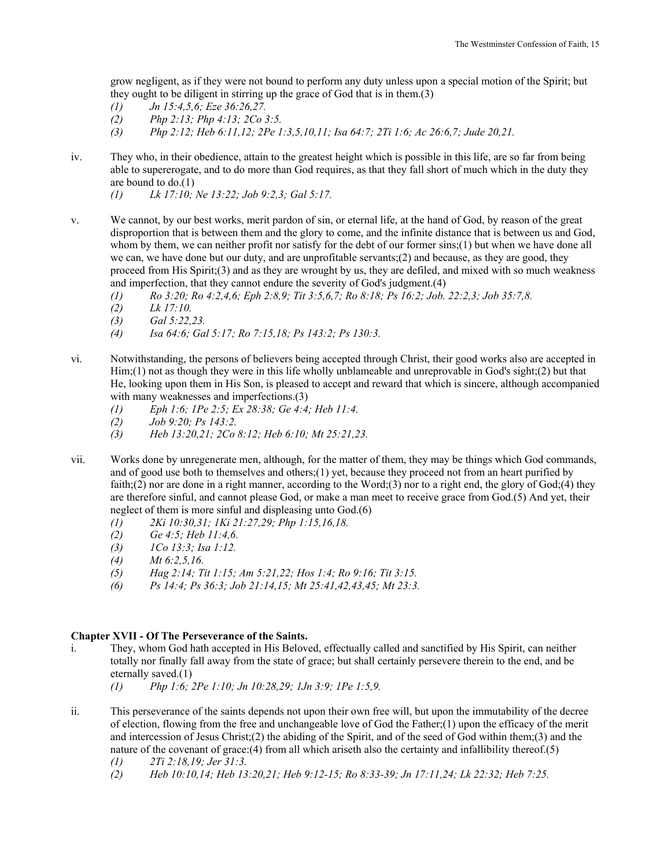grow negligent, as if they were not bound to perform any duty unless upon a special motion of the Spirit; but they ought to be diligent in stirring up the grace of God that is in them.(3)

- *(1) Jn 15:4,5,6; Eze 36:26,27.*
- *(2) Php 2:13; Php 4:13; 2Co 3:5.*
- *(3) Php 2:12; Heb 6:11,12; 2Pe 1:3,5,10,11; Isa 64:7; 2Ti 1:6; Ac 26:6,7; Jude 20,21.*
- iv. They who, in their obedience, attain to the greatest height which is possible in this life, are so far from being able to supererogate, and to do more than God requires, as that they fall short of much which in the duty they are bound to do.(1)

 *(1) Lk 17:10; Ne 13:22; Job 9:2,3; Gal 5:17.* 

- v. We cannot, by our best works, merit pardon of sin, or eternal life, at the hand of God, by reason of the great disproportion that is between them and the glory to come, and the infinite distance that is between us and God, whom by them, we can neither profit nor satisfy for the debt of our former sins;(1) but when we have done all we can, we have done but our duty, and are unprofitable servants;(2) and because, as they are good, they proceed from His Spirit;(3) and as they are wrought by us, they are defiled, and mixed with so much weakness and imperfection, that they cannot endure the severity of God's judgment.(4)
	- *(1) Ro 3:20; Ro 4:2,4,6; Eph 2:8,9; Tit 3:5,6,7; Ro 8:18; Ps 16:2; Job. 22:2,3; Job 35:7,8.*
	- *(2) Lk 17:10.*
	- *(3) Gal 5:22,23.*
	- *(4) Isa 64:6; Gal 5:17; Ro 7:15,18; Ps 143:2; Ps 130:3.*
- vi. Notwithstanding, the persons of believers being accepted through Christ, their good works also are accepted in Him;(1) not as though they were in this life wholly unblameable and unreprovable in God's sight;(2) but that He, looking upon them in His Son, is pleased to accept and reward that which is sincere, although accompanied with many weaknesses and imperfections.(3)
	- *(1) Eph 1:6; 1Pe 2:5; Ex 28:38; Ge 4:4; Heb 11:4.*
	- *(2) Job 9:20; Ps 143:2.*
	- *(3) Heb 13:20,21; 2Co 8:12; Heb 6:10; Mt 25:21,23.*
- vii. Works done by unregenerate men, although, for the matter of them, they may be things which God commands, and of good use both to themselves and others;(1) yet, because they proceed not from an heart purified by faith;(2) nor are done in a right manner, according to the Word;(3) nor to a right end, the glory of God;(4) they are therefore sinful, and cannot please God, or make a man meet to receive grace from God.(5) And yet, their neglect of them is more sinful and displeasing unto God.(6)
	- *(1) 2Ki 10:30,31; 1Ki 21:27,29; Php 1:15,16,18.*
	- *(2) Ge 4:5; Heb 11:4,6.*
	- *(3) 1Co 13:3; Isa 1:12.*
	- *(4) Mt 6:2,5,16.*
	- *(5) Hag 2:14; Tit 1:15; Am 5:21,22; Hos 1:4; Ro 9:16; Tit 3:15.*
	- *(6) Ps 14:4; Ps 36:3; Job 21:14,15; Mt 25:41,42,43,45; Mt 23:3.*

## **Chapter XVII - Of The Perseverance of the Saints.**

- i. They, whom God hath accepted in His Beloved, effectually called and sanctified by His Spirit, can neither totally nor finally fall away from the state of grace; but shall certainly persevere therein to the end, and be eternally saved.(1)
	- *(1) Php 1:6; 2Pe 1:10; Jn 10:28,29; 1Jn 3:9; 1Pe 1:5,9.*
- ii. This perseverance of the saints depends not upon their own free will, but upon the immutability of the decree of election, flowing from the free and unchangeable love of God the Father;(1) upon the efficacy of the merit and intercession of Jesus Christ;(2) the abiding of the Spirit, and of the seed of God within them;(3) and the nature of the covenant of grace:(4) from all which ariseth also the certainty and infallibility thereof.(5)
	- *(1) 2Ti 2:18,19; Jer 31:3.*
	- *(2) Heb 10:10,14; Heb 13:20,21; Heb 9:12-15; Ro 8:33-39; Jn 17:11,24; Lk 22:32; Heb 7:25.*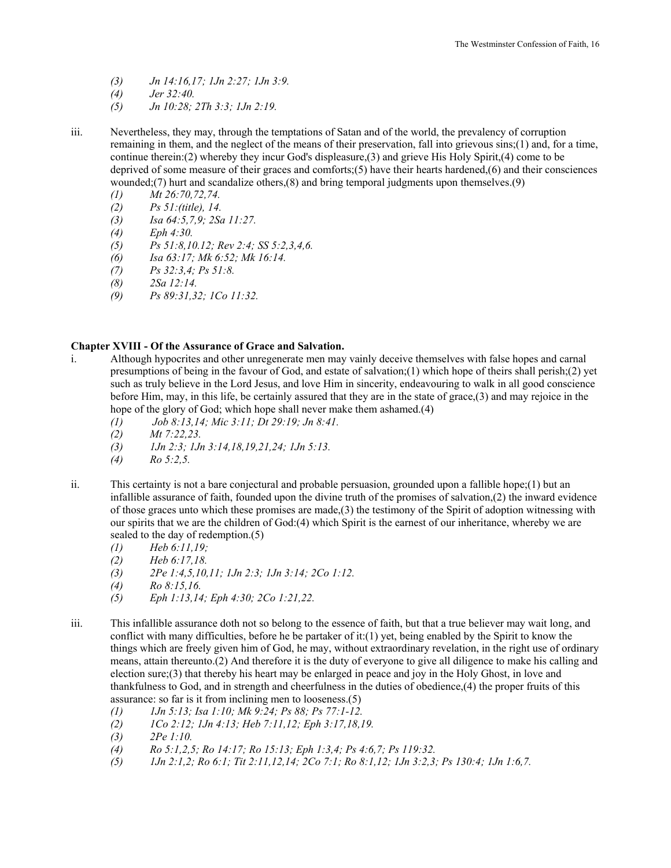- *(3) Jn 14:16,17; 1Jn 2:27; 1Jn 3:9.*
- *(4) Jer 32:40.*
- *(5) Jn 10:28; 2Th 3:3; 1Jn 2:19.*
- iii. Nevertheless, they may, through the temptations of Satan and of the world, the prevalency of corruption remaining in them, and the neglect of the means of their preservation, fall into grievous sins;(1) and, for a time, continue therein:(2) whereby they incur God's displeasure,(3) and grieve His Holy Spirit,(4) come to be deprived of some measure of their graces and comforts;(5) have their hearts hardened,(6) and their consciences wounded;(7) hurt and scandalize others,(8) and bring temporal judgments upon themselves.(9)
	- *(1) Mt 26:70,72,74.*
	- *(2) Ps 51:(title), 14.*
	- *(3) Isa 64:5,7,9; 2Sa 11:27.*
	- *(4) Eph 4:30.*
	- *(5) Ps 51:8,10.12; Rev 2:4; SS 5:2,3,4,6.*
	- *(6) Isa 63:17; Mk 6:52; Mk 16:14.*
	- *(7) Ps 32:3,4; Ps 51:8.*
	- *(8) 2Sa 12:14.*
	- *(9) Ps 89:31,32; 1Co 11:32.*

## **Chapter XVIII - Of the Assurance of Grace and Salvation.**

- i. Although hypocrites and other unregenerate men may vainly deceive themselves with false hopes and carnal presumptions of being in the favour of God, and estate of salvation;(1) which hope of theirs shall perish;(2) yet such as truly believe in the Lord Jesus, and love Him in sincerity, endeavouring to walk in all good conscience before Him, may, in this life, be certainly assured that they are in the state of grace,(3) and may rejoice in the hope of the glory of God; which hope shall never make them ashamed.(4)
	- *(1) Job 8:13,14; Mic 3:11; Dt 29:19; Jn 8:41.*
	- *(2) Mt 7:22,23.*
	- *(3) 1Jn 2:3; 1Jn 3:14,18,19,21,24; 1Jn 5:13.*
	- *(4) Ro 5:2,5.*
- ii. This certainty is not a bare conjectural and probable persuasion, grounded upon a fallible hope;(1) but an infallible assurance of faith, founded upon the divine truth of the promises of salvation,(2) the inward evidence of those graces unto which these promises are made,(3) the testimony of the Spirit of adoption witnessing with our spirits that we are the children of God:(4) which Spirit is the earnest of our inheritance, whereby we are sealed to the day of redemption.(5)
	- *(1) Heb 6:11,19;*
	- *(2) Heb 6:17,18.*
	- *(3) 2Pe 1:4,5,10,11; 1Jn 2:3; 1Jn 3:14; 2Co 1:12.*
	- *(4) Ro 8:15,16.*
	- *(5) Eph 1:13,14; Eph 4:30; 2Co 1:21,22.*
- iii. This infallible assurance doth not so belong to the essence of faith, but that a true believer may wait long, and conflict with many difficulties, before he be partaker of it:(1) yet, being enabled by the Spirit to know the things which are freely given him of God, he may, without extraordinary revelation, in the right use of ordinary means, attain thereunto.(2) And therefore it is the duty of everyone to give all diligence to make his calling and election sure;(3) that thereby his heart may be enlarged in peace and joy in the Holy Ghost, in love and thankfulness to God, and in strength and cheerfulness in the duties of obedience,(4) the proper fruits of this assurance: so far is it from inclining men to looseness.(5)
	- *(1) 1Jn 5:13; Isa 1:10; Mk 9:24; Ps 88; Ps 77:1-12.*
	- *(2) 1Co 2:12; 1Jn 4:13; Heb 7:11,12; Eph 3:17,18,19.*
	- *(3) 2Pe 1:10.*
	- *(4) Ro 5:1,2,5; Ro 14:17; Ro 15:13; Eph 1:3,4; Ps 4:6,7; Ps 119:32.*
	- *(5) 1Jn 2:1,2; Ro 6:1; Tit 2:11,12,14; 2Co 7:1; Ro 8:1,12; 1Jn 3:2,3; Ps 130:4; 1Jn 1:6,7.*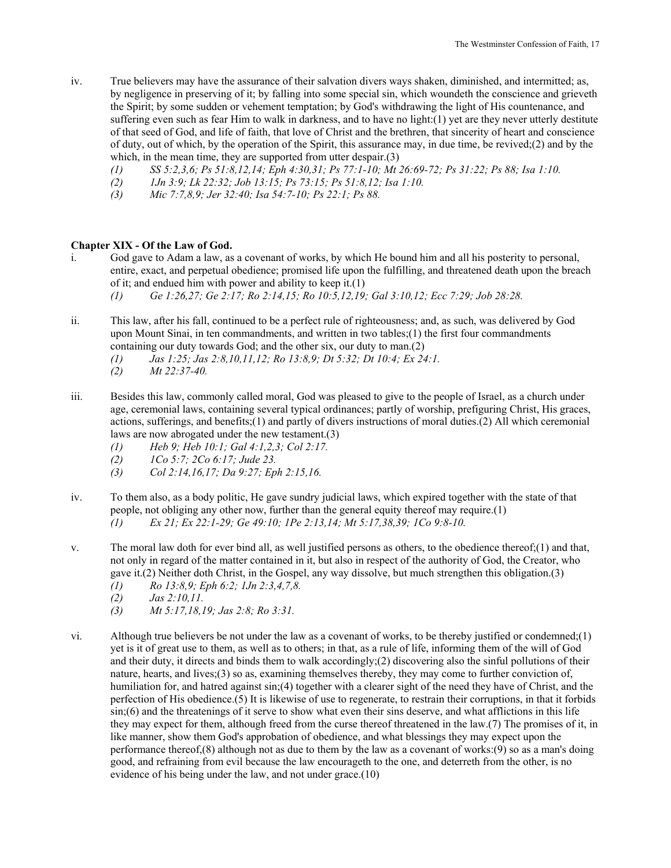- iv. True believers may have the assurance of their salvation divers ways shaken, diminished, and intermitted; as, by negligence in preserving of it; by falling into some special sin, which woundeth the conscience and grieveth the Spirit; by some sudden or vehement temptation; by God's withdrawing the light of His countenance, and suffering even such as fear Him to walk in darkness, and to have no light:(1) yet are they never utterly destitute of that seed of God, and life of faith, that love of Christ and the brethren, that sincerity of heart and conscience of duty, out of which, by the operation of the Spirit, this assurance may, in due time, be revived;(2) and by the which, in the mean time, they are supported from utter despair.(3)
	- *(1) SS 5:2,3,6; Ps 51:8,12,14; Eph 4:30,31; Ps 77:1-10; Mt 26:69-72; Ps 31:22; Ps 88; Isa 1:10.*
	- *(2) 1Jn 3:9; Lk 22:32; Job 13:15; Ps 73:15; Ps 51:8,12; Isa 1:10.*
	- *(3) Mic 7:7,8,9; Jer 32:40; Isa 54:7-10; Ps 22:1; Ps 88.*

## **Chapter XIX - Of the Law of God.**

- i. God gave to Adam a law, as a covenant of works, by which He bound him and all his posterity to personal, entire, exact, and perpetual obedience; promised life upon the fulfilling, and threatened death upon the breach of it; and endued him with power and ability to keep it.(1)  *(1) Ge 1:26,27; Ge 2:17; Ro 2:14,15; Ro 10:5,12,19; Gal 3:10,12; Ecc 7:29; Job 28:28.*
- ii. This law, after his fall, continued to be a perfect rule of righteousness; and, as such, was delivered by God upon Mount Sinai, in ten commandments, and written in two tables;(1) the first four commandments containing our duty towards God; and the other six, our duty to man.(2)
	- *(1) Jas 1:25; Jas 2:8,10,11,12; Ro 13:8,9; Dt 5:32; Dt 10:4; Ex 24:1.*
	- *(2) Mt 22:37-40.*
- iii. Besides this law, commonly called moral, God was pleased to give to the people of Israel, as a church under age, ceremonial laws, containing several typical ordinances; partly of worship, prefiguring Christ, His graces, actions, sufferings, and benefits;(1) and partly of divers instructions of moral duties.(2) All which ceremonial laws are now abrogated under the new testament.(3)
	- *(1) Heb 9; Heb 10:1; Gal 4:1,2,3; Col 2:17.*
	- *(2) 1Co 5:7; 2Co 6:17; Jude 23.*
	- *(3) Col 2:14,16,17; Da 9:27; Eph 2:15,16.*
- iv. To them also, as a body politic, He gave sundry judicial laws, which expired together with the state of that people, not obliging any other now, further than the general equity thereof may require.(1)  *(1) Ex 21; Ex 22:1-29; Ge 49:10; 1Pe 2:13,14; Mt 5:17,38,39; 1Co 9:8-10.*
- v. The moral law doth for ever bind all, as well justified persons as others, to the obedience thereof;(1) and that, not only in regard of the matter contained in it, but also in respect of the authority of God, the Creator, who gave it.(2) Neither doth Christ, in the Gospel, any way dissolve, but much strengthen this obligation.(3)
	- *(1) Ro 13:8,9; Eph 6:2; 1Jn 2:3,4,7,8.*
	- *(2) Jas 2:10,11.*
	- *(3) Mt 5:17,18,19; Jas 2:8; Ro 3:31.*
- vi. Although true believers be not under the law as a covenant of works, to be thereby justified or condemned;(1) yet is it of great use to them, as well as to others; in that, as a rule of life, informing them of the will of God and their duty, it directs and binds them to walk accordingly;(2) discovering also the sinful pollutions of their nature, hearts, and lives;(3) so as, examining themselves thereby, they may come to further conviction of, humiliation for, and hatred against  $sin(4)$  together with a clearer sight of the need they have of Christ, and the perfection of His obedience.(5) It is likewise of use to regenerate, to restrain their corruptions, in that it forbids sin;(6) and the threatenings of it serve to show what even their sins deserve, and what afflictions in this life they may expect for them, although freed from the curse thereof threatened in the law.(7) The promises of it, in like manner, show them God's approbation of obedience, and what blessings they may expect upon the performance thereof,(8) although not as due to them by the law as a covenant of works:(9) so as a man's doing good, and refraining from evil because the law encourageth to the one, and deterreth from the other, is no evidence of his being under the law, and not under grace.(10)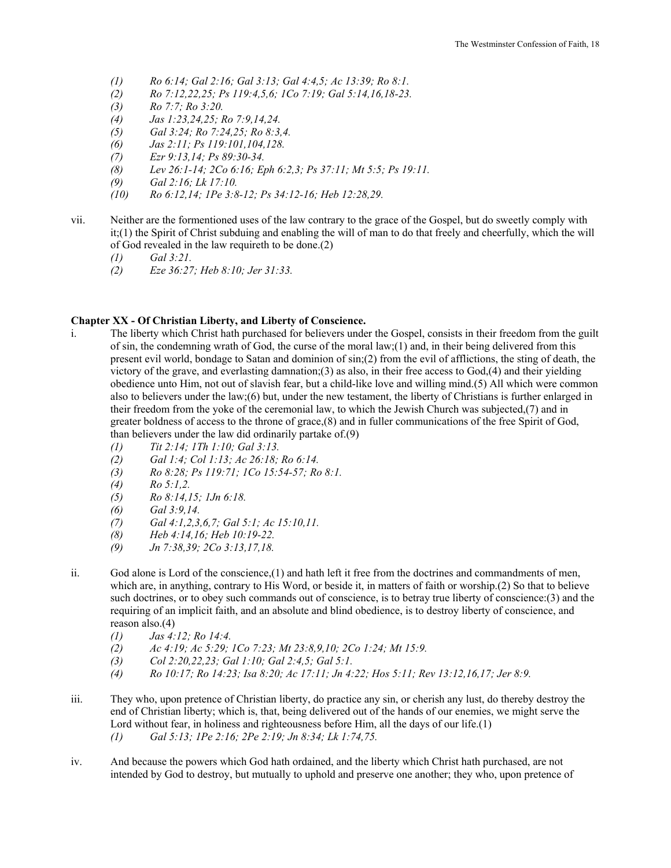- *(1) Ro 6:14; Gal 2:16; Gal 3:13; Gal 4:4,5; Ac 13:39; Ro 8:1.*
- *(2) Ro 7:12,22,25; Ps 119:4,5,6; 1Co 7:19; Gal 5:14,16,18-23.*
- *(3) Ro 7:7; Ro 3:20.*
- *(4) Jas 1:23,24,25; Ro 7:9,14,24.*
- *(5) Gal 3:24; Ro 7:24,25; Ro 8:3,4.*
- *(6) Jas 2:11; Ps 119:101,104,128.*
- *(7) Ezr 9:13,14; Ps 89:30-34.*
- *(8) Lev 26:1-14; 2Co 6:16; Eph 6:2,3; Ps 37:11; Mt 5:5; Ps 19:11.*
- *(9) Gal 2:16; Lk 17:10.*
- *(10) Ro 6:12,14; 1Pe 3:8-12; Ps 34:12-16; Heb 12:28,29.*
- vii. Neither are the formentioned uses of the law contrary to the grace of the Gospel, but do sweetly comply with it;(1) the Spirit of Christ subduing and enabling the will of man to do that freely and cheerfully, which the will of God revealed in the law requireth to be done.(2)
	- *(1) Gal 3:21.*
	- *(2) Eze 36:27; Heb 8:10; Jer 31:33.*

# **Chapter XX - Of Christian Liberty, and Liberty of Conscience.**

- i. The liberty which Christ hath purchased for believers under the Gospel, consists in their freedom from the guilt of sin, the condemning wrath of God, the curse of the moral law;(1) and, in their being delivered from this present evil world, bondage to Satan and dominion of sin;(2) from the evil of afflictions, the sting of death, the victory of the grave, and everlasting damnation;(3) as also, in their free access to God,(4) and their yielding obedience unto Him, not out of slavish fear, but a child-like love and willing mind.(5) All which were common also to believers under the law;(6) but, under the new testament, the liberty of Christians is further enlarged in their freedom from the yoke of the ceremonial law, to which the Jewish Church was subjected,(7) and in greater boldness of access to the throne of grace,(8) and in fuller communications of the free Spirit of God, than believers under the law did ordinarily partake of.(9)
	- *(1) Tit 2:14; 1Th 1:10; Gal 3:13.*
	- *(2) Gal 1:4; Col 1:13; Ac 26:18; Ro 6:14.*
	- *(3) Ro 8:28; Ps 119:71; 1Co 15:54-57; Ro 8:1.*
	- *(4) Ro 5:1,2.*
	- *(5) Ro 8:14,15; 1Jn 6:18.*
	- *(6) Gal 3:9,14.*
	- *(7) Gal 4:1,2,3,6,7; Gal 5:1; Ac 15:10,11.*
	- *(8) Heb 4:14,16; Heb 10:19-22.*
	- *(9) Jn 7:38,39; 2Co 3:13,17,18.*
- ii. God alone is Lord of the conscience,(1) and hath left it free from the doctrines and commandments of men, which are, in anything, contrary to His Word, or beside it, in matters of faith or worship.(2) So that to believe such doctrines, or to obey such commands out of conscience, is to betray true liberty of conscience:(3) and the requiring of an implicit faith, and an absolute and blind obedience, is to destroy liberty of conscience, and reason also.(4)
	- *(1) Jas 4:12; Ro 14:4.*
	- *(2) Ac 4:19; Ac 5:29; 1Co 7:23; Mt 23:8,9,10; 2Co 1:24; Mt 15:9.*
	- *(3) Col 2:20,22,23; Gal 1:10; Gal 2:4,5; Gal 5:1.*
	- *(4) Ro 10:17; Ro 14:23; Isa 8:20; Ac 17:11; Jn 4:22; Hos 5:11; Rev 13:12,16,17; Jer 8:9.*
- iii. They who, upon pretence of Christian liberty, do practice any sin, or cherish any lust, do thereby destroy the end of Christian liberty; which is, that, being delivered out of the hands of our enemies, we might serve the Lord without fear, in holiness and righteousness before Him, all the days of our life.(1)  *(1) Gal 5:13; 1Pe 2:16; 2Pe 2:19; Jn 8:34; Lk 1:74,75.*
- iv. And because the powers which God hath ordained, and the liberty which Christ hath purchased, are not intended by God to destroy, but mutually to uphold and preserve one another; they who, upon pretence of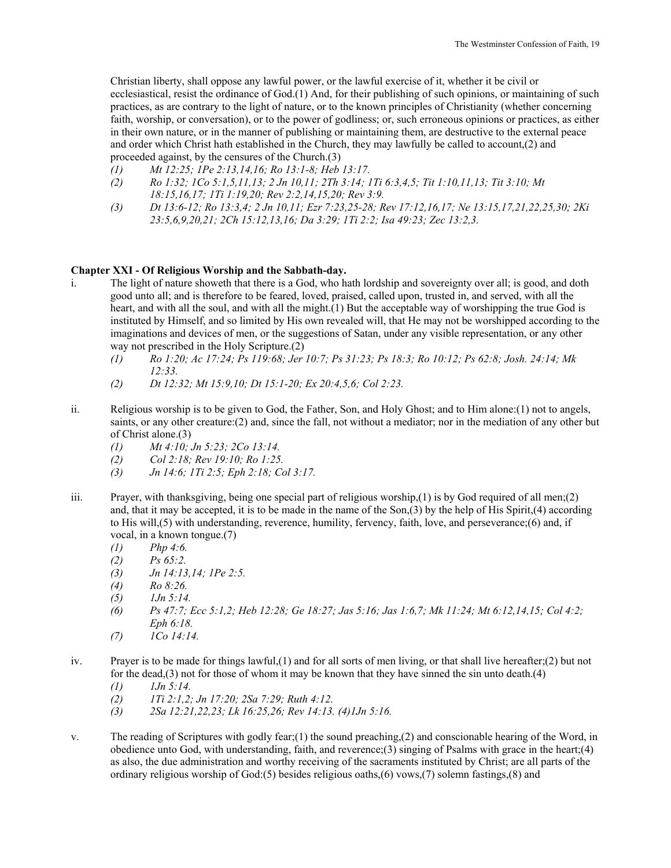Christian liberty, shall oppose any lawful power, or the lawful exercise of it, whether it be civil or ecclesiastical, resist the ordinance of God.(1) And, for their publishing of such opinions, or maintaining of such practices, as are contrary to the light of nature, or to the known principles of Christianity (whether concerning faith, worship, or conversation), or to the power of godliness; or, such erroneous opinions or practices, as either in their own nature, or in the manner of publishing or maintaining them, are destructive to the external peace and order which Christ hath established in the Church, they may lawfully be called to account,(2) and proceeded against, by the censures of the Church.(3)

- *(1) Mt 12:25; 1Pe 2:13,14,16; Ro 13:1-8; Heb 13:17.*
- *(2) Ro 1:32; 1Co 5:1,5,11,13; 2 Jn 10,11; 2Th 3:14; 1Ti 6:3,4,5; Tit 1:10,11,13; Tit 3:10; Mt 18:15,16,17; 1Ti 1:19,20; Rev 2:2,14,15,20; Rev 3:9.*
- *(3) Dt 13:6-12; Ro 13:3,4; 2 Jn 10,11; Ezr 7:23,25-28; Rev 17:12,16,17; Ne 13:15,17,21,22,25,30; 2Ki 23:5,6,9,20,21; 2Ch 15:12,13,16; Da 3:29; 1Ti 2:2; Isa 49:23; Zec 13:2,3.*

## **Chapter XXI - Of Religious Worship and the Sabbath-day.**

- i. The light of nature showeth that there is a God, who hath lordship and sovereignty over all; is good, and doth good unto all; and is therefore to be feared, loved, praised, called upon, trusted in, and served, with all the heart, and with all the soul, and with all the might.(1) But the acceptable way of worshipping the true God is instituted by Himself, and so limited by His own revealed will, that He may not be worshipped according to the imaginations and devices of men, or the suggestions of Satan, under any visible representation, or any other way not prescribed in the Holy Scripture.(2)
	- *(1) Ro 1:20; Ac 17:24; Ps 119:68; Jer 10:7; Ps 31:23; Ps 18:3; Ro 10:12; Ps 62:8; Josh. 24:14; Mk 12:33.*
	- *(2) Dt 12:32; Mt 15:9,10; Dt 15:1-20; Ex 20:4,5,6; Col 2:23.*
- ii. Religious worship is to be given to God, the Father, Son, and Holy Ghost; and to Him alone:(1) not to angels, saints, or any other creature:(2) and, since the fall, not without a mediator; nor in the mediation of any other but of Christ alone.(3)
	- *(1) Mt 4:10; Jn 5:23; 2Co 13:14.*
	- *(2) Col 2:18; Rev 19:10; Ro 1:25.*
	- *(3) Jn 14:6; 1Ti 2:5; Eph 2:18; Col 3:17.*
- iii. Prayer, with thanksgiving, being one special part of religious worship,  $(1)$  is by God required of all men;  $(2)$ and, that it may be accepted, it is to be made in the name of the Son,(3) by the help of His Spirit,(4) according to His will,(5) with understanding, reverence, humility, fervency, faith, love, and perseverance;(6) and, if vocal, in a known tongue.(7)
	- *(1) Php 4:6.*
	- *(2) Ps 65:2.*
	- *(3) Jn 14:13,14; 1Pe 2:5.*
	- *(4) Ro 8:26.*
	- *(5) 1Jn 5:14.*
	- *(6) Ps 47:7; Ecc 5:1,2; Heb 12:28; Ge 18:27; Jas 5:16; Jas 1:6,7; Mk 11:24; Mt 6:12,14,15; Col 4:2; Eph 6:18.*
	- *(7) 1Co 14:14.*
- iv. Prayer is to be made for things lawful,(1) and for all sorts of men living, or that shall live hereafter;(2) but not for the dead, $(3)$  not for those of whom it may be known that they have sinned the sin unto death. $(4)$ 
	- *(1) 1Jn 5:14.*
	- *(2) 1Ti 2:1,2; Jn 17:20; 2Sa 7:29; Ruth 4:12.*
	- *(3) 2Sa 12:21,22,23; Lk 16:25,26; Rev 14:13. (4)1Jn 5:16.*
- v. The reading of Scriptures with godly fear;(1) the sound preaching,(2) and conscionable hearing of the Word, in obedience unto God, with understanding, faith, and reverence;(3) singing of Psalms with grace in the heart;(4) as also, the due administration and worthy receiving of the sacraments instituted by Christ; are all parts of the ordinary religious worship of God:(5) besides religious oaths,(6) vows,(7) solemn fastings,(8) and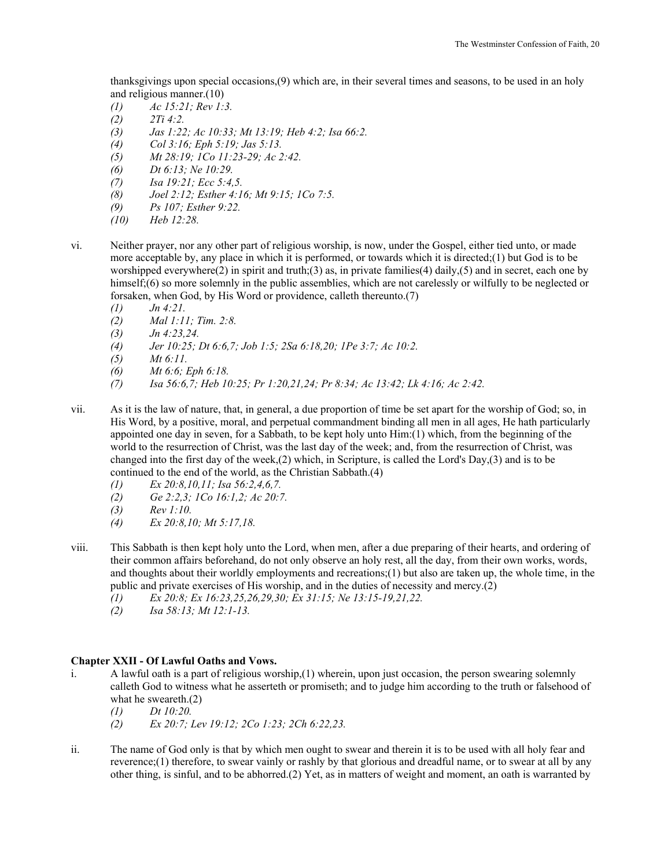thanksgivings upon special occasions,(9) which are, in their several times and seasons, to be used in an holy and religious manner.(10)

- *(1) Ac 15:21; Rev 1:3.*
- *(2) 2Ti 4:2.*
- *(3) Jas 1:22; Ac 10:33; Mt 13:19; Heb 4:2; Isa 66:2.*
- *(4) Col 3:16; Eph 5:19; Jas 5:13.*
- *(5) Mt 28:19; 1Co 11:23-29; Ac 2:42.*
- *(6) Dt 6:13; Ne 10:29.*
- *(7) Isa 19:21; Ecc 5:4,5.*
- *(8) Joel 2:12; Esther 4:16; Mt 9:15; 1Co 7:5.*
- *(9) Ps 107; Esther 9:22.*
- *(10) Heb 12:28.*
- vi. Neither prayer, nor any other part of religious worship, is now, under the Gospel, either tied unto, or made more acceptable by, any place in which it is performed, or towards which it is directed;(1) but God is to be worshipped everywhere(2) in spirit and truth;(3) as, in private families(4) daily,(5) and in secret, each one by himself;(6) so more solemnly in the public assemblies, which are not carelessly or wilfully to be neglected or forsaken, when God, by His Word or providence, calleth thereunto.(7)
	- *(1) Jn 4:21.*
	- *(2) Mal 1:11; Tim. 2:8.*
	- *(3) Jn 4:23,24.*
	- *(4) Jer 10:25; Dt 6:6,7; Job 1:5; 2Sa 6:18,20; 1Pe 3:7; Ac 10:2.*
	- *(5) Mt 6:11.*
	- *(6) Mt 6:6; Eph 6:18.*
	- *(7) Isa 56:6,7; Heb 10:25; Pr 1:20,21,24; Pr 8:34; Ac 13:42; Lk 4:16; Ac 2:42.*
- vii. As it is the law of nature, that, in general, a due proportion of time be set apart for the worship of God; so, in His Word, by a positive, moral, and perpetual commandment binding all men in all ages, He hath particularly appointed one day in seven, for a Sabbath, to be kept holy unto Him:(1) which, from the beginning of the world to the resurrection of Christ, was the last day of the week; and, from the resurrection of Christ, was changed into the first day of the week,(2) which, in Scripture, is called the Lord's Day,(3) and is to be continued to the end of the world, as the Christian Sabbath.(4)
	- *(1) Ex 20:8,10,11; Isa 56:2,4,6,7.*
	- *(2) Ge 2:2,3; 1Co 16:1,2; Ac 20:7.*
	- *(3) Rev 1:10.*
	- *(4) Ex 20:8,10; Mt 5:17,18.*
- viii. This Sabbath is then kept holy unto the Lord, when men, after a due preparing of their hearts, and ordering of their common affairs beforehand, do not only observe an holy rest, all the day, from their own works, words, and thoughts about their worldly employments and recreations;(1) but also are taken up, the whole time, in the public and private exercises of His worship, and in the duties of necessity and mercy.(2)
	- *(1) Ex 20:8; Ex 16:23,25,26,29,30; Ex 31:15; Ne 13:15-19,21,22.*
	- *(2) Isa 58:13; Mt 12:1-13.*

## **Chapter XXII - Of Lawful Oaths and Vows.**

- i. A lawful oath is a part of religious worship,(1) wherein, upon just occasion, the person swearing solemnly calleth God to witness what he asserteth or promiseth; and to judge him according to the truth or falsehood of what he sweareth.(2)
	- *(1) Dt 10:20.*
	- *(2) Ex 20:7; Lev 19:12; 2Co 1:23; 2Ch 6:22,23.*
- ii. The name of God only is that by which men ought to swear and therein it is to be used with all holy fear and reverence; $(1)$  therefore, to swear vainly or rashly by that glorious and dreadful name, or to swear at all by any other thing, is sinful, and to be abhorred.(2) Yet, as in matters of weight and moment, an oath is warranted by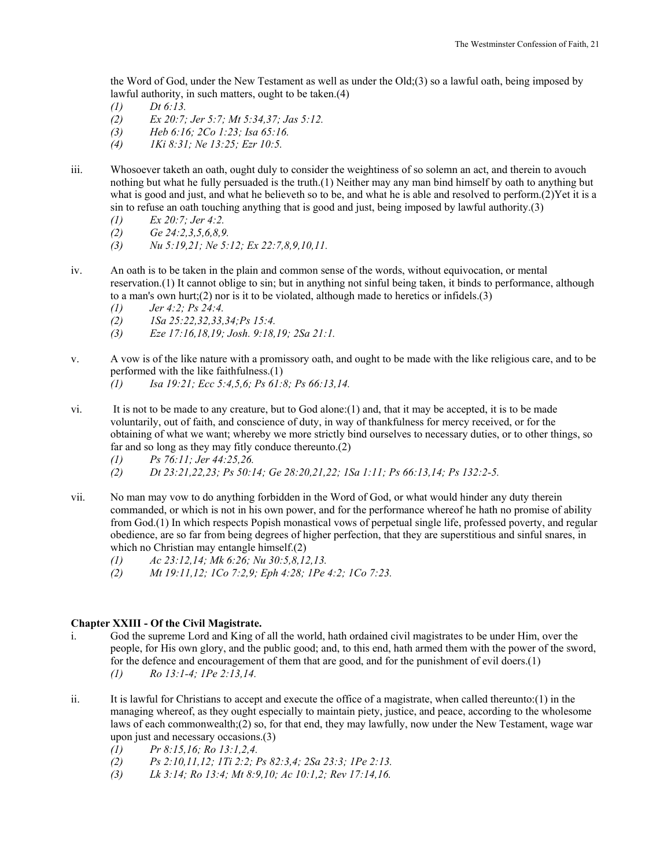the Word of God, under the New Testament as well as under the Old;(3) so a lawful oath, being imposed by lawful authority, in such matters, ought to be taken.(4)

- *(1) Dt 6:13.*
- *(2) Ex 20:7; Jer 5:7; Mt 5:34,37; Jas 5:12.*
- *(3) Heb 6:16; 2Co 1:23; Isa 65:16.*
- *(4) 1Ki 8:31; Ne 13:25; Ezr 10:5.*
- iii. Whosoever taketh an oath, ought duly to consider the weightiness of so solemn an act, and therein to avouch nothing but what he fully persuaded is the truth.(1) Neither may any man bind himself by oath to anything but what is good and just, and what he believeth so to be, and what he is able and resolved to perform.(2) Yet it is a sin to refuse an oath touching anything that is good and just, being imposed by lawful authority.(3)
	- *(1) Ex 20:7; Jer 4:2.*
	- *(2) Ge 24:2,3,5,6,8,9.*
	- *(3) Nu 5:19,21; Ne 5:12; Ex 22:7,8,9,10,11.*
- iv. An oath is to be taken in the plain and common sense of the words, without equivocation, or mental reservation.(1) It cannot oblige to sin; but in anything not sinful being taken, it binds to performance, although to a man's own hurt; $(2)$  nor is it to be violated, although made to heretics or infidels. $(3)$ 
	- *(1) Jer 4:2; Ps 24:4.*
	- *(2) 1Sa 25:22,32,33,34;Ps 15:4.*
	- *(3) Eze 17:16,18,19; Josh. 9:18,19; 2Sa 21:1.*
- v. A vow is of the like nature with a promissory oath, and ought to be made with the like religious care, and to be performed with the like faithfulness.(1)
	- *(1) Isa 19:21; Ecc 5:4,5,6; Ps 61:8; Ps 66:13,14.*
- vi. It is not to be made to any creature, but to God alone:(1) and, that it may be accepted, it is to be made voluntarily, out of faith, and conscience of duty, in way of thankfulness for mercy received, or for the obtaining of what we want; whereby we more strictly bind ourselves to necessary duties, or to other things, so far and so long as they may fitly conduce thereunto.(2)
	- *(1) Ps 76:11; Jer 44:25,26.*
	- *(2) Dt 23:21,22,23; Ps 50:14; Ge 28:20,21,22; 1Sa 1:11; Ps 66:13,14; Ps 132:2-5.*
- vii. No man may vow to do anything forbidden in the Word of God, or what would hinder any duty therein commanded, or which is not in his own power, and for the performance whereof he hath no promise of ability from God.(1) In which respects Popish monastical vows of perpetual single life, professed poverty, and regular obedience, are so far from being degrees of higher perfection, that they are superstitious and sinful snares, in which no Christian may entangle himself.(2)
	- *(1) Ac 23:12,14; Mk 6:26; Nu 30:5,8,12,13.*
	- *(2) Mt 19:11,12; 1Co 7:2,9; Eph 4:28; 1Pe 4:2; 1Co 7:23.*

## **Chapter XXIII - Of the Civil Magistrate.**

- i. God the supreme Lord and King of all the world, hath ordained civil magistrates to be under Him, over the people, for His own glory, and the public good; and, to this end, hath armed them with the power of the sword, for the defence and encouragement of them that are good, and for the punishment of evil doers.(1) *(1) Ro 13:1-4; 1Pe 2:13,14.*
- ii. It is lawful for Christians to accept and execute the office of a magistrate, when called thereunto: $(1)$  in the managing whereof, as they ought especially to maintain piety, justice, and peace, according to the wholesome laws of each commonwealth;(2) so, for that end, they may lawfully, now under the New Testament, wage war upon just and necessary occasions.(3)
	- *(1) Pr 8:15,16; Ro 13:1,2,4.*
	- *(2) Ps 2:10,11,12; 1Ti 2:2; Ps 82:3,4; 2Sa 23:3; 1Pe 2:13.*
	- *(3) Lk 3:14; Ro 13:4; Mt 8:9,10; Ac 10:1,2; Rev 17:14,16.*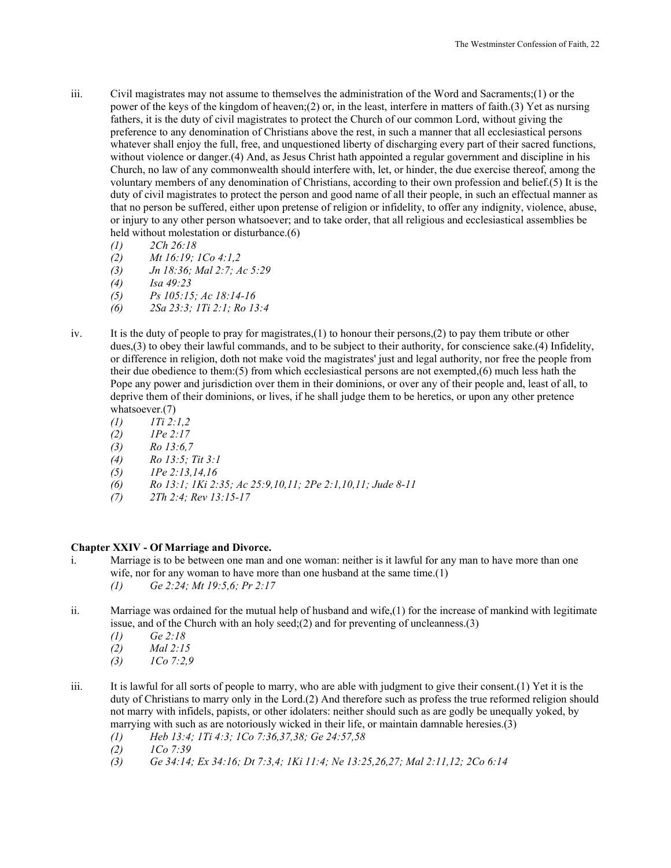- iii. Civil magistrates may not assume to themselves the administration of the Word and Sacraments;(1) or the power of the keys of the kingdom of heaven;(2) or, in the least, interfere in matters of faith.(3) Yet as nursing fathers, it is the duty of civil magistrates to protect the Church of our common Lord, without giving the preference to any denomination of Christians above the rest, in such a manner that all ecclesiastical persons whatever shall enjoy the full, free, and unquestioned liberty of discharging every part of their sacred functions, without violence or danger.(4) And, as Jesus Christ hath appointed a regular government and discipline in his Church, no law of any commonwealth should interfere with, let, or hinder, the due exercise thereof, among the voluntary members of any denomination of Christians, according to their own profession and belief.(5) It is the duty of civil magistrates to protect the person and good name of all their people, in such an effectual manner as that no person be suffered, either upon pretense of religion or infidelity, to offer any indignity, violence, abuse, or injury to any other person whatsoever; and to take order, that all religious and ecclesiastical assemblies be held without molestation or disturbance.(6)
	- *(1) 2Ch 26:18*
	- *(2) Mt 16:19; 1Co 4:1,2*
	- *(3) Jn 18:36; Mal 2:7; Ac 5:29*
	- *(4) Isa 49:23*
	- *(5) Ps 105:15; Ac 18:14-16*
	- *(6) 2Sa 23:3; 1Ti 2:1; Ro 13:4*
- iv. It is the duty of people to pray for magistrates,(1) to honour their persons,(2) to pay them tribute or other dues,(3) to obey their lawful commands, and to be subject to their authority, for conscience sake.(4) Infidelity, or difference in religion, doth not make void the magistrates' just and legal authority, nor free the people from their due obedience to them:(5) from which ecclesiastical persons are not exempted,(6) much less hath the Pope any power and jurisdiction over them in their dominions, or over any of their people and, least of all, to deprive them of their dominions, or lives, if he shall judge them to be heretics, or upon any other pretence whatsoever.(7)
	- *(1) 1Ti 2:1,2*
	- *(2) 1Pe 2:17*
	- *(3) Ro 13:6,7*
	- *(4) Ro 13:5; Tit 3:1*
	- *(5) 1Pe 2:13,14,16*
	- *(6) Ro 13:1; 1Ki 2:35; Ac 25:9,10,11; 2Pe 2:1,10,11; Jude 8-11*
	- *(7) 2Th 2:4; Rev 13:15-17*

## **Chapter XXIV - Of Marriage and Divorce.**

- i. Marriage is to be between one man and one woman: neither is it lawful for any man to have more than one wife, nor for any woman to have more than one husband at the same time.(1)
	- *(1) Ge 2:24; Mt 19:5,6; Pr 2:17*
- ii. Marriage was ordained for the mutual help of husband and wife,(1) for the increase of mankind with legitimate issue, and of the Church with an holy seed;(2) and for preventing of uncleanness.(3)
	- *(1) Ge 2:18*
	- *(2) Mal 2:15*
	- *(3) 1Co 7:2,9*
- iii. It is lawful for all sorts of people to marry, who are able with judgment to give their consent.(1) Yet it is the duty of Christians to marry only in the Lord.(2) And therefore such as profess the true reformed religion should not marry with infidels, papists, or other idolaters: neither should such as are godly be unequally yoked, by marrying with such as are notoriously wicked in their life, or maintain damnable heresies.(3)
	- *(1) Heb 13:4; 1Ti 4:3; 1Co 7:36,37,38; Ge 24:57,58*
	- *(2) 1Co 7:39*
	- *(3) Ge 34:14; Ex 34:16; Dt 7:3,4; 1Ki 11:4; Ne 13:25,26,27; Mal 2:11,12; 2Co 6:14*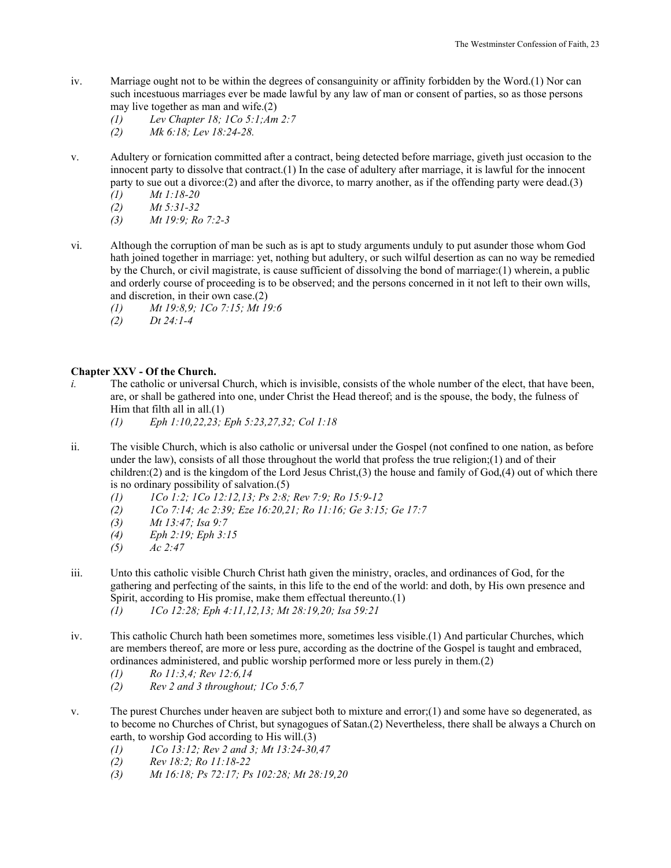- iv. Marriage ought not to be within the degrees of consanguinity or affinity forbidden by the Word.(1) Nor can such incestuous marriages ever be made lawful by any law of man or consent of parties, so as those persons may live together as man and wife.(2)
	- *(1) Lev Chapter 18; 1Co 5:1;Am 2:7*
	- *(2) Mk 6:18; Lev 18:24-28.*
- v. Adultery or fornication committed after a contract, being detected before marriage, giveth just occasion to the innocent party to dissolve that contract.(1) In the case of adultery after marriage, it is lawful for the innocent party to sue out a divorce: $(2)$  and after the divorce, to marry another, as if the offending party were dead. $(3)$ 
	- *(1) Mt 1:18-20*
	- *(2) Mt 5:31-32*
	- *(3) Mt 19:9; Ro 7:2-3*
- vi. Although the corruption of man be such as is apt to study arguments unduly to put asunder those whom God hath joined together in marriage: yet, nothing but adultery, or such wilful desertion as can no way be remedied by the Church, or civil magistrate, is cause sufficient of dissolving the bond of marriage:(1) wherein, a public and orderly course of proceeding is to be observed; and the persons concerned in it not left to their own wills, and discretion, in their own case.(2)
	- *(1) Mt 19:8,9; 1Co 7:15; Mt 19:6*
	- *(2) Dt 24:1-4*

# **Chapter XXV - Of the Church.**

- *i.* The catholic or universal Church, which is invisible, consists of the whole number of the elect, that have been, are, or shall be gathered into one, under Christ the Head thereof; and is the spouse, the body, the fulness of Him that filth all in all. $(1)$ 
	- *(1) Eph 1:10,22,23; Eph 5:23,27,32; Col 1:18*
- ii. The visible Church, which is also catholic or universal under the Gospel (not confined to one nation, as before under the law), consists of all those throughout the world that profess the true religion;(1) and of their children:(2) and is the kingdom of the Lord Jesus Christ,(3) the house and family of God,(4) out of which there is no ordinary possibility of salvation.(5)
	- *(1) 1Co 1:2; 1Co 12:12,13; Ps 2:8; Rev 7:9; Ro 15:9-12*
	- *(2) 1Co 7:14; Ac 2:39; Eze 16:20,21; Ro 11:16; Ge 3:15; Ge 17:7*
	- *(3) Mt 13:47; Isa 9:7*
	- *(4) Eph 2:19; Eph 3:15*
	- *(5) Ac 2:47*
- iii. Unto this catholic visible Church Christ hath given the ministry, oracles, and ordinances of God, for the gathering and perfecting of the saints, in this life to the end of the world: and doth, by His own presence and Spirit, according to His promise, make them effectual thereunto.(1)  *(1) 1Co 12:28; Eph 4:11,12,13; Mt 28:19,20; Isa 59:21*
- iv. This catholic Church hath been sometimes more, sometimes less visible.(1) And particular Churches, which are members thereof, are more or less pure, according as the doctrine of the Gospel is taught and embraced, ordinances administered, and public worship performed more or less purely in them.(2)
	- *(1) Ro 11:3,4; Rev 12:6,14*
	- *(2) Rev 2 and 3 throughout; 1Co 5:6,7*
- v. The purest Churches under heaven are subject both to mixture and error;(1) and some have so degenerated, as to become no Churches of Christ, but synagogues of Satan.(2) Nevertheless, there shall be always a Church on earth, to worship God according to His will.(3)
	- *(1) 1Co 13:12; Rev 2 and 3; Mt 13:24-30,47*
	- *(2) Rev 18:2; Ro 11:18-22*
	- *(3) Mt 16:18; Ps 72:17; Ps 102:28; Mt 28:19,20*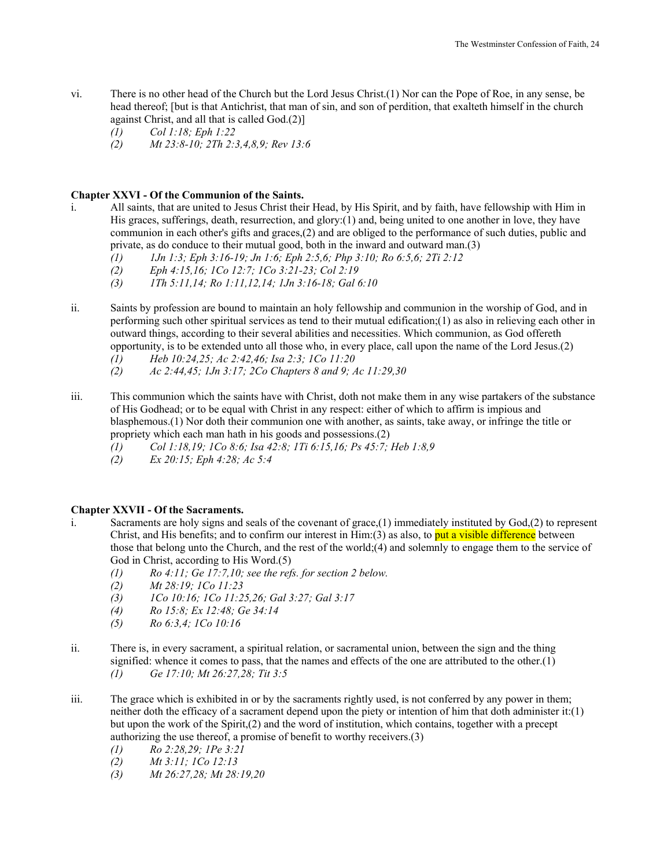- vi. There is no other head of the Church but the Lord Jesus Christ.(1) Nor can the Pope of Roe, in any sense, be head thereof; [but is that Antichrist, that man of sin, and son of perdition, that exalteth himself in the church against Christ, and all that is called God.(2)]
	- *(1) Col 1:18; Eph 1:22*
	- *(2) Mt 23:8-10; 2Th 2:3,4,8,9; Rev 13:6*

## **Chapter XXVI - Of the Communion of the Saints.**

- i. All saints, that are united to Jesus Christ their Head, by His Spirit, and by faith, have fellowship with Him in His graces, sufferings, death, resurrection, and glory:(1) and, being united to one another in love, they have communion in each other's gifts and graces,(2) and are obliged to the performance of such duties, public and private, as do conduce to their mutual good, both in the inward and outward man.(3)
	- *(1) 1Jn 1:3; Eph 3:16-19; Jn 1:6; Eph 2:5,6; Php 3:10; Ro 6:5,6; 2Ti 2:12*
	- *(2) Eph 4:15,16; 1Co 12:7; 1Co 3:21-23; Col 2:19*
	- *(3) 1Th 5:11,14; Ro 1:11,12,14; 1Jn 3:16-18; Gal 6:10*
- ii. Saints by profession are bound to maintain an holy fellowship and communion in the worship of God, and in performing such other spiritual services as tend to their mutual edification;(1) as also in relieving each other in outward things, according to their several abilities and necessities. Which communion, as God offereth opportunity, is to be extended unto all those who, in every place, call upon the name of the Lord Jesus.(2)
	- *(1) Heb 10:24,25; Ac 2:42,46; Isa 2:3; 1Co 11:20*
	- *(2) Ac 2:44,45; 1Jn 3:17; 2Co Chapters 8 and 9; Ac 11:29,30*
- iii. This communion which the saints have with Christ, doth not make them in any wise partakers of the substance of His Godhead; or to be equal with Christ in any respect: either of which to affirm is impious and blasphemous.(1) Nor doth their communion one with another, as saints, take away, or infringe the title or propriety which each man hath in his goods and possessions.(2)
	- *(1) Col 1:18,19; 1Co 8:6; Isa 42:8; 1Ti 6:15,16; Ps 45:7; Heb 1:8,9*
	- *(2) Ex 20:15; Eph 4:28; Ac 5:4*

## **Chapter XXVII - Of the Sacraments.**

- i. Sacraments are holy signs and seals of the covenant of grace,(1) immediately instituted by God,(2) to represent Christ, and His benefits; and to confirm our interest in  $\lim(3)$  as also, to put a visible difference between those that belong unto the Church, and the rest of the world;(4) and solemnly to engage them to the service of God in Christ, according to His Word.(5)
	- *(1) Ro 4:11; Ge 17:7,10; see the refs. for section 2 below.*
	- *(2) Mt 28:19; 1Co 11:23*
	- *(3) 1Co 10:16; 1Co 11:25,26; Gal 3:27; Gal 3:17*
	- *(4) Ro 15:8; Ex 12:48; Ge 34:14*
	- *(5) Ro 6:3,4; 1Co 10:16*
- ii. There is, in every sacrament, a spiritual relation, or sacramental union, between the sign and the thing signified: whence it comes to pass, that the names and effects of the one are attributed to the other. $(1)$ *(1) Ge 17:10; Mt 26:27,28; Tit 3:5*
- iii. The grace which is exhibited in or by the sacraments rightly used, is not conferred by any power in them; neither doth the efficacy of a sacrament depend upon the piety or intention of him that doth administer it:(1) but upon the work of the Spirit,(2) and the word of institution, which contains, together with a precept authorizing the use thereof, a promise of benefit to worthy receivers.(3)
	- *(1) Ro 2:28,29; 1Pe 3:21*
	- *(2) Mt 3:11; 1Co 12:13*
	- *(3) Mt 26:27,28; Mt 28:19,20*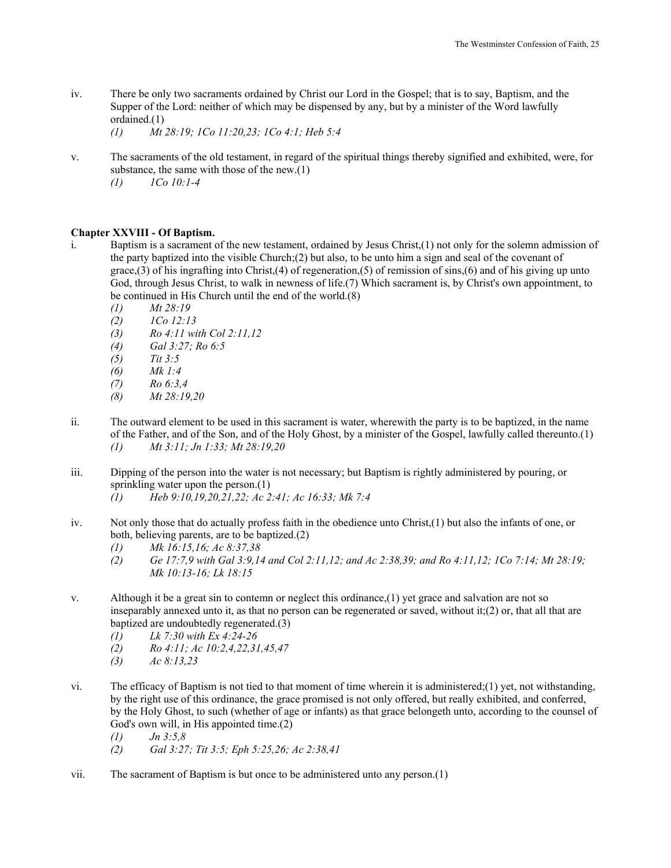iv. There be only two sacraments ordained by Christ our Lord in the Gospel; that is to say, Baptism, and the Supper of the Lord: neither of which may be dispensed by any, but by a minister of the Word lawfully ordained.(1)

 *(1) Mt 28:19; 1Co 11:20,23; 1Co 4:1; Heb 5:4* 

v. The sacraments of the old testament, in regard of the spiritual things thereby signified and exhibited, were, for substance, the same with those of the new.(1)

 *(1) 1Co 10:1-4* 

# **Chapter XXVIII - Of Baptism.**

- i. Baptism is a sacrament of the new testament, ordained by Jesus Christ,(1) not only for the solemn admission of the party baptized into the visible Church;(2) but also, to be unto him a sign and seal of the covenant of grace,(3) of his ingrafting into Christ,(4) of regeneration,(5) of remission of sins,(6) and of his giving up unto God, through Jesus Christ, to walk in newness of life.(7) Which sacrament is, by Christ's own appointment, to be continued in His Church until the end of the world.(8)
	- *(1) Mt 28:19*
	- *(2) 1Co 12:13*
	- *(3) Ro 4:11 with Col 2:11,12*
	- *(4) Gal 3:27; Ro 6:5*
	- *(5) Tit 3:5*
	- *(6) Mk 1:4*
	- *(7) Ro 6:3,4*
	- *(8) Mt 28:19,20*
- ii. The outward element to be used in this sacrament is water, wherewith the party is to be baptized, in the name of the Father, and of the Son, and of the Holy Ghost, by a minister of the Gospel, lawfully called thereunto.(1)  *(1) Mt 3:11; Jn 1:33; Mt 28:19,20*
- iii. Dipping of the person into the water is not necessary; but Baptism is rightly administered by pouring, or sprinkling water upon the person.(1)
	- *(1) Heb 9:10,19,20,21,22; Ac 2:41; Ac 16:33; Mk 7:4*
- iv. Not only those that do actually profess faith in the obedience unto Christ,(1) but also the infants of one, or both, believing parents, are to be baptized.(2)
	- *(1) Mk 16:15,16; Ac 8:37,38*
	- *(2) Ge 17:7,9 with Gal 3:9,14 and Col 2:11,12; and Ac 2:38,39; and Ro 4:11,12; 1Co 7:14; Mt 28:19; Mk 10:13-16; Lk 18:15*
- v. Although it be a great sin to contemn or neglect this ordinance,(1) yet grace and salvation are not so inseparably annexed unto it, as that no person can be regenerated or saved, without it; $(2)$  or, that all that are baptized are undoubtedly regenerated.(3)
	- *(1) Lk 7:30 with Ex 4:24-26*
	- *(2) Ro 4:11; Ac 10:2,4,22,31,45,47*
	- *(3) Ac 8:13,23*
- vi. The efficacy of Baptism is not tied to that moment of time wherein it is administered;(1) yet, not withstanding, by the right use of this ordinance, the grace promised is not only offered, but really exhibited, and conferred, by the Holy Ghost, to such (whether of age or infants) as that grace belongeth unto, according to the counsel of God's own will, in His appointed time.(2)
	- *(1) Jn 3:5,8*
	- *(2) Gal 3:27; Tit 3:5; Eph 5:25,26; Ac 2:38,41*
- vii. The sacrament of Baptism is but once to be administered unto any person.(1)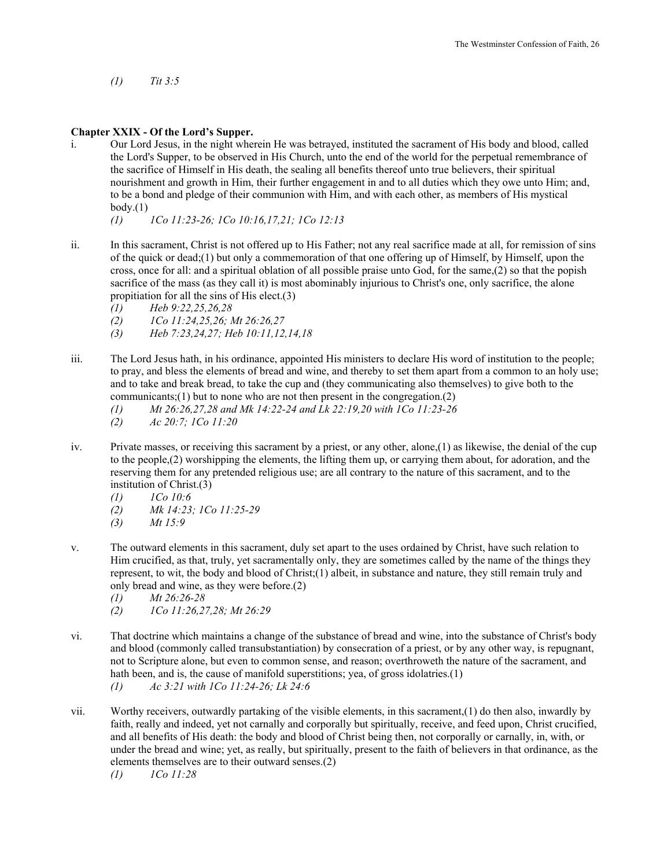*(1) Tit 3:5* 

## **Chapter XXIX - Of the Lord's Supper.**

i. Our Lord Jesus, in the night wherein He was betrayed, instituted the sacrament of His body and blood, called the Lord's Supper, to be observed in His Church, unto the end of the world for the perpetual remembrance of the sacrifice of Himself in His death, the sealing all benefits thereof unto true believers, their spiritual nourishment and growth in Him, their further engagement in and to all duties which they owe unto Him; and, to be a bond and pledge of their communion with Him, and with each other, as members of His mystical  $body(1)$ 

 *(1) 1Co 11:23-26; 1Co 10:16,17,21; 1Co 12:13* 

- ii. In this sacrament, Christ is not offered up to His Father; not any real sacrifice made at all, for remission of sins of the quick or dead;(1) but only a commemoration of that one offering up of Himself, by Himself, upon the cross, once for all: and a spiritual oblation of all possible praise unto God, for the same,(2) so that the popish sacrifice of the mass (as they call it) is most abominably injurious to Christ's one, only sacrifice, the alone propitiation for all the sins of His elect.(3)
	- *(1) Heb 9:22,25,26,28*
	- *(2) 1Co 11:24,25,26; Mt 26:26,27*
	- *(3) Heb 7:23,24,27; Heb 10:11,12,14,18*
- iii. The Lord Jesus hath, in his ordinance, appointed His ministers to declare His word of institution to the people; to pray, and bless the elements of bread and wine, and thereby to set them apart from a common to an holy use; and to take and break bread, to take the cup and (they communicating also themselves) to give both to the communicants;(1) but to none who are not then present in the congregation.(2)
	- *(1) Mt 26:26,27,28 and Mk 14:22-24 and Lk 22:19,20 with 1Co 11:23-26*
	- *(2) Ac 20:7; 1Co 11:20*
- iv. Private masses, or receiving this sacrament by a priest, or any other, alone,(1) as likewise, the denial of the cup to the people,(2) worshipping the elements, the lifting them up, or carrying them about, for adoration, and the reserving them for any pretended religious use; are all contrary to the nature of this sacrament, and to the institution of Christ.(3)
	- *(1) 1Co 10:6*
	- *(2) Mk 14:23; 1Co 11:25-29*
	- *(3) Mt 15:9*
- v. The outward elements in this sacrament, duly set apart to the uses ordained by Christ, have such relation to Him crucified, as that, truly, yet sacramentally only, they are sometimes called by the name of the things they represent, to wit, the body and blood of Christ;(1) albeit, in substance and nature, they still remain truly and only bread and wine, as they were before.(2)
	- *(1) Mt 26:26-28*
	- *(2) 1Co 11:26,27,28; Mt 26:29*
- vi. That doctrine which maintains a change of the substance of bread and wine, into the substance of Christ's body and blood (commonly called transubstantiation) by consecration of a priest, or by any other way, is repugnant, not to Scripture alone, but even to common sense, and reason; overthroweth the nature of the sacrament, and hath been, and is, the cause of manifold superstitions; yea, of gross idolatries.(1) *(1) Ac 3:21 with 1Co 11:24-26; Lk 24:6*
- vii. Worthy receivers, outwardly partaking of the visible elements, in this sacrament,(1) do then also, inwardly by faith, really and indeed, yet not carnally and corporally but spiritually, receive, and feed upon, Christ crucified, and all benefits of His death: the body and blood of Christ being then, not corporally or carnally, in, with, or under the bread and wine; yet, as really, but spiritually, present to the faith of believers in that ordinance, as the elements themselves are to their outward senses.(2)

*(1) 1Co 11:28*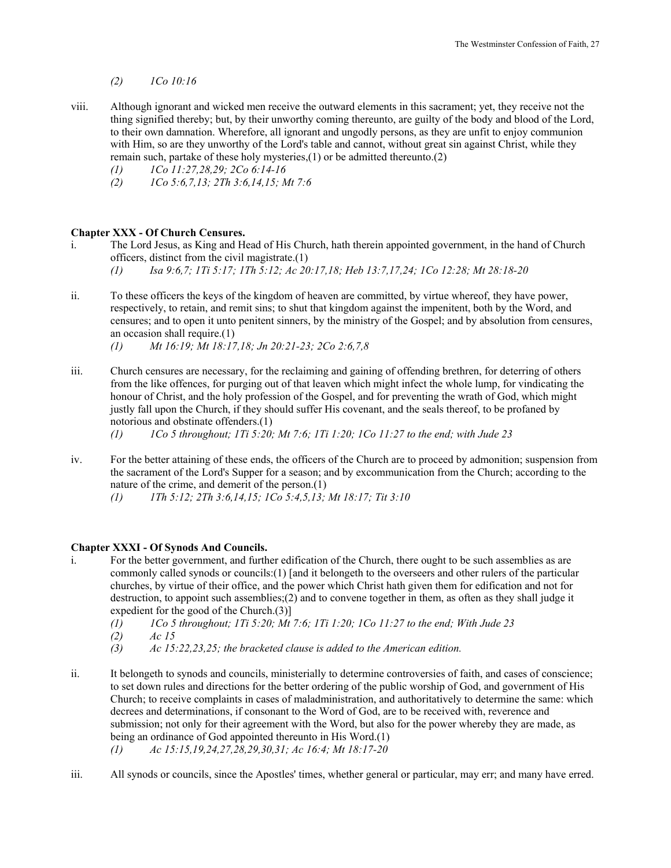## *(2) 1Co 10:16*

- viii. Although ignorant and wicked men receive the outward elements in this sacrament; yet, they receive not the thing signified thereby; but, by their unworthy coming thereunto, are guilty of the body and blood of the Lord, to their own damnation. Wherefore, all ignorant and ungodly persons, as they are unfit to enjoy communion with Him, so are they unworthy of the Lord's table and cannot, without great sin against Christ, while they remain such, partake of these holy mysteries,(1) or be admitted thereunto.(2)
	- *(1) 1Co 11:27,28,29; 2Co 6:14-16*
	- *(2) 1Co 5:6,7,13; 2Th 3:6,14,15; Mt 7:6*

#### **Chapter XXX - Of Church Censures.**

- i. The Lord Jesus, as King and Head of His Church, hath therein appointed government, in the hand of Church officers, distinct from the civil magistrate.(1)
	- *(1) Isa 9:6,7; 1Ti 5:17; 1Th 5:12; Ac 20:17,18; Heb 13:7,17,24; 1Co 12:28; Mt 28:18-20*
- ii. To these officers the keys of the kingdom of heaven are committed, by virtue whereof, they have power, respectively, to retain, and remit sins; to shut that kingdom against the impenitent, both by the Word, and censures; and to open it unto penitent sinners, by the ministry of the Gospel; and by absolution from censures, an occasion shall require.(1)
	- *(1) Mt 16:19; Mt 18:17,18; Jn 20:21-23; 2Co 2:6,7,8*
- iii. Church censures are necessary, for the reclaiming and gaining of offending brethren, for deterring of others from the like offences, for purging out of that leaven which might infect the whole lump, for vindicating the honour of Christ, and the holy profession of the Gospel, and for preventing the wrath of God, which might justly fall upon the Church, if they should suffer His covenant, and the seals thereof, to be profaned by notorious and obstinate offenders.(1)

*(1) 1Co 5 throughout; 1Ti 5:20; Mt 7:6; 1Ti 1:20; 1Co 11:27 to the end; with Jude 23* 

- iv. For the better attaining of these ends, the officers of the Church are to proceed by admonition; suspension from the sacrament of the Lord's Supper for a season; and by excommunication from the Church; according to the nature of the crime, and demerit of the person.(1)
	- *(1) 1Th 5:12; 2Th 3:6,14,15; 1Co 5:4,5,13; Mt 18:17; Tit 3:10*

## **Chapter XXXI - Of Synods And Councils.**

- i. For the better government, and further edification of the Church, there ought to be such assemblies as are commonly called synods or councils:(1) [and it belongeth to the overseers and other rulers of the particular churches, by virtue of their office, and the power which Christ hath given them for edification and not for destruction, to appoint such assemblies;(2) and to convene together in them, as often as they shall judge it expedient for the good of the Church.(3)]
	- *(1) 1Co 5 throughout; 1Ti 5:20; Mt 7:6; 1Ti 1:20; 1Co 11:27 to the end; With Jude 23*
	- *(2) Ac 15*
	- *(3) Ac 15:22,23,25; the bracketed clause is added to the American edition.*
- ii. It belongeth to synods and councils, ministerially to determine controversies of faith, and cases of conscience; to set down rules and directions for the better ordering of the public worship of God, and government of His Church; to receive complaints in cases of maladministration, and authoritatively to determine the same: which decrees and determinations, if consonant to the Word of God, are to be received with, reverence and submission; not only for their agreement with the Word, but also for the power whereby they are made, as being an ordinance of God appointed thereunto in His Word.(1)
	- *(1) Ac 15:15,19,24,27,28,29,30,31; Ac 16:4; Mt 18:17-20*
- iii. All synods or councils, since the Apostles' times, whether general or particular, may err; and many have erred.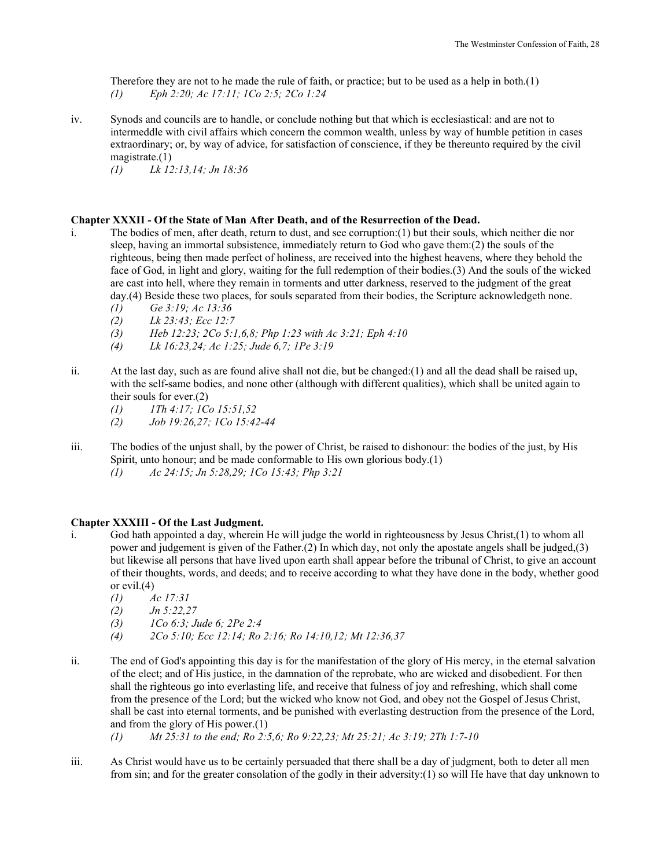Therefore they are not to he made the rule of faith, or practice; but to be used as a help in both.(1) *(1) Eph 2:20; Ac 17:11; 1Co 2:5; 2Co 1:24* 

iv. Synods and councils are to handle, or conclude nothing but that which is ecclesiastical: and are not to intermeddle with civil affairs which concern the common wealth, unless by way of humble petition in cases extraordinary; or, by way of advice, for satisfaction of conscience, if they be thereunto required by the civil magistrate.(1)

*(1) Lk 12:13,14; Jn 18:36* 

## **Chapter XXXII - Of the State of Man After Death, and of the Resurrection of the Dead.**

- i. The bodies of men, after death, return to dust, and see corruption:(1) but their souls, which neither die nor sleep, having an immortal subsistence, immediately return to God who gave them:(2) the souls of the righteous, being then made perfect of holiness, are received into the highest heavens, where they behold the face of God, in light and glory, waiting for the full redemption of their bodies.(3) And the souls of the wicked are cast into hell, where they remain in torments and utter darkness, reserved to the judgment of the great day.(4) Beside these two places, for souls separated from their bodies, the Scripture acknowledgeth none.
	- *(1) Ge 3:19; Ac 13:36*
	- *(2) Lk 23:43; Ecc 12:7*
	- *(3) Heb 12:23; 2Co 5:1,6,8; Php 1:23 with Ac 3:21; Eph 4:10*
	- *(4) Lk 16:23,24; Ac 1:25; Jude 6,7; 1Pe 3:19*
- ii. At the last day, such as are found alive shall not die, but be changed: $(1)$  and all the dead shall be raised up, with the self-same bodies, and none other (although with different qualities), which shall be united again to their souls for ever.(2)
	- *(1) 1Th 4:17; 1Co 15:51,52*
	- *(2) Job 19:26,27; 1Co 15:42-44*
- iii. The bodies of the unjust shall, by the power of Christ, be raised to dishonour: the bodies of the just, by His Spirit, unto honour; and be made conformable to His own glorious body.(1)  *(1) Ac 24:15; Jn 5:28,29; 1Co 15:43; Php 3:21*

#### **Chapter XXXIII - Of the Last Judgment.**

- i. God hath appointed a day, wherein He will judge the world in righteousness by Jesus Christ,(1) to whom all power and judgement is given of the Father.(2) In which day, not only the apostate angels shall be judged,(3) but likewise all persons that have lived upon earth shall appear before the tribunal of Christ, to give an account of their thoughts, words, and deeds; and to receive according to what they have done in the body, whether good or evil.(4)
	- *(1) Ac 17:31*
	- *(2) Jn 5:22,27*
	- *(3) 1Co 6:3; Jude 6; 2Pe 2:4*
	- *(4) 2Co 5:10; Ecc 12:14; Ro 2:16; Ro 14:10,12; Mt 12:36,37*
- ii. The end of God's appointing this day is for the manifestation of the glory of His mercy, in the eternal salvation of the elect; and of His justice, in the damnation of the reprobate, who are wicked and disobedient. For then shall the righteous go into everlasting life, and receive that fulness of joy and refreshing, which shall come from the presence of the Lord; but the wicked who know not God, and obey not the Gospel of Jesus Christ, shall be cast into eternal torments, and be punished with everlasting destruction from the presence of the Lord, and from the glory of His power.(1)
	- *(1) Mt 25:31 to the end; Ro 2:5,6; Ro 9:22,23; Mt 25:21; Ac 3:19; 2Th 1:7-10*
- iii. As Christ would have us to be certainly persuaded that there shall be a day of judgment, both to deter all men from sin; and for the greater consolation of the godly in their adversity:(1) so will He have that day unknown to